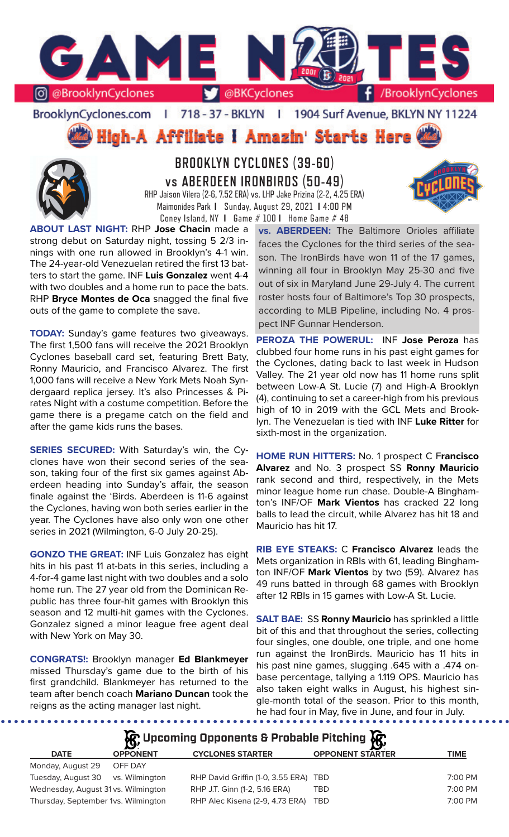

BrooklynCyclones.com | 718 - 37 - BKLYN | 1904 Surf Avenue, BKLYN NY 11224

High-A Affiliate I Amazin' Starts Here



**BROOKLYN CYCLONES (39-60) vs ABERDEEN IRONBIRDS (50-49)** RHP Jaison Vilera (2-6, 7.52 ERA) vs. LHP Jake Prizina (2-2, 4.25 ERA) Maimonides Park **I** Sunday, August 29, 2021 **I** 4:00 PM

Coney Island, NY **I** Game # 100 **I** Home Game # 48



**ABOUT LAST NIGHT:** RHP **Jose Chacin** made a strong debut on Saturday night, tossing 5 2/3 innings with one run allowed in Brooklyn's 4-1 win. The 24-year-old Venezuelan retired the first 13 batters to start the game. INF **Luis Gonzalez** went 4-4 with two doubles and a home run to pace the bats. RHP **Bryce Montes de Oca** snagged the final five outs of the game to complete the save.

**TODAY:** Sunday's game features two giveaways. The first 1,500 fans will receive the 2021 Brooklyn Cyclones baseball card set, featuring Brett Baty, Ronny Mauricio, and Francisco Alvarez. The first 1,000 fans will receive a New York Mets Noah Syndergaard replica jersey. It's also Princesses & Pirates Night with a costume competition. Before the game there is a pregame catch on the field and after the game kids runs the bases.

**SERIES SECURED:** With Saturday's win, the Cyclones have won their second series of the season, taking four of the first six games against Aberdeen heading into Sunday's affair, the season finale against the 'Birds. Aberdeen is 11-6 against the Cyclones, having won both series earlier in the year. The Cyclones have also only won one other series in 2021 (Wilmington, 6-0 July 20-25).

**GONZO THE GREAT:** INF Luis Gonzalez has eight hits in his past 11 at-bats in this series, including a 4-for-4 game last night with two doubles and a solo home run. The 27 year old from the Dominican Republic has three four-hit games with Brooklyn this season and 12 multi-hit games with the Cyclones. Gonzalez signed a minor league free agent deal with New York on May 30.

**CONGRATS!:** Brooklyn manager **Ed Blankmeyer** missed Thursday's game due to the birth of his first grandchild. Blankmeyer has returned to the team after bench coach **Mariano Duncan** took the reigns as the acting manager last night.

 $0.00000000000$ 

**vs. ABERDEEN:** The Baltimore Orioles affiliate faces the Cyclones for the third series of the season. The IronBirds have won 11 of the 17 games, winning all four in Brooklyn May 25-30 and five out of six in Maryland June 29-July 4. The current roster hosts four of Baltimore's Top 30 prospects, according to MLB Pipeline, including No. 4 prospect INF Gunnar Henderson.

**PEROZA THE POWERUL:** INF **Jose Peroza** has clubbed four home runs in his past eight games for the Cyclones, dating back to last week in Hudson Valley. The 21 year old now has 11 home runs split between Low-A St. Lucie (7) and High-A Brooklyn (4), continuing to set a career-high from his previous high of 10 in 2019 with the GCL Mets and Brooklyn. The Venezuelan is tied with INF **Luke Ritter** for sixth-most in the organization.

**HOME RUN HITTERS:** No. 1 prospect C F**rancisco Alvarez** and No. 3 prospect SS **Ronny Mauricio**  rank second and third, respectively, in the Mets minor league home run chase. Double-A Binghamton's INF/OF **Mark Vientos** has cracked 22 long balls to lead the circuit, while Alvarez has hit 18 and Mauricio has hit 17.

**RIB EYE STEAKS:** C **Francisco Alvarez** leads the Mets organization in RBIs with 61, leading Binghamton INF/OF **Mark Vientos** by two (59). Alvarez has 49 runs batted in through 68 games with Brooklyn after 12 RBIs in 15 games with Low-A St. Lucie.

**SALT BAE:** SS **Ronny Mauricio** has sprinkled a little bit of this and that throughout the series, collecting four singles, one double, one triple, and one home run against the IronBirds. Mauricio has 11 hits in his past nine games, slugging .645 with a .474 onbase percentage, tallying a 1.119 OPS. Mauricio has also taken eight walks in August, his highest single-month total of the season. Prior to this month, he had four in May, five in June, and four in July.

**松** Upcoming Opponents & Probable Pitching **依** 

| <b>DATE</b>                         | <b>OPPONENT</b> | <b>CYCLONES STARTER</b>               | <b>OPPONENT STARTER</b> | TIME    |
|-------------------------------------|-----------------|---------------------------------------|-------------------------|---------|
| Monday, August 29                   | OFF DAY         |                                       |                         |         |
| Tuesday, August 30 vs. Wilmington   |                 | RHP David Griffin (1-0, 3.55 ERA) TBD |                         | 7:00 PM |
| Wednesday, August 31 vs. Wilmington |                 | RHP J.T. Ginn (1-2, 5.16 ERA)         | TBD                     | 7:00 PM |
| Thursday, September 1vs. Wilmington |                 | RHP Alec Kisena (2-9, 4.73 ERA)       | TBD                     | 7:00 PM |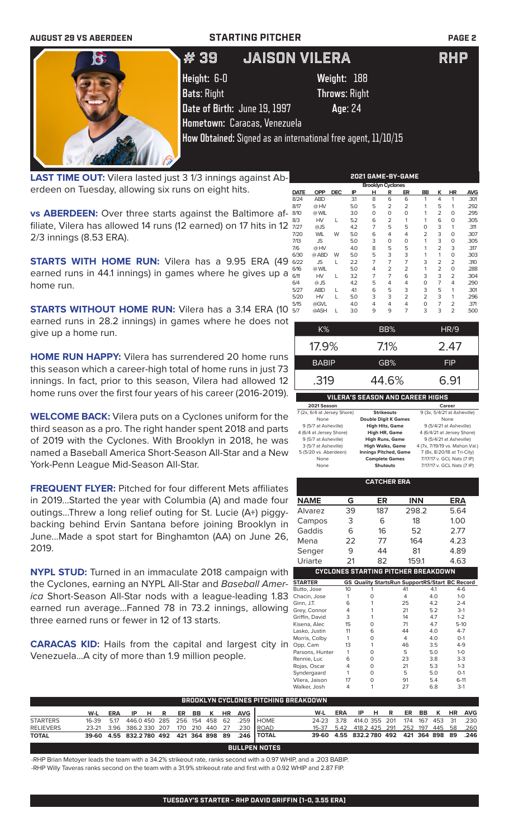| <b>AUGUST 29 VS ABERDEEN</b> | <b>STARTING PITCHER</b>                                      |                                                                          | <b>PAGE 2</b> |
|------------------------------|--------------------------------------------------------------|--------------------------------------------------------------------------|---------------|
| k3                           | # 39'                                                        | <b>JAISON VILERA</b>                                                     | RHP           |
|                              | Height: 6-0<br><b>Bats: Right</b>                            | Weight: 188<br><b>Throws: Right</b>                                      |               |
|                              | Date of Birth: June 19, 1997<br>Hometown: Caracas, Venezuela | Age: 24<br>How Obtained: Signed as an international free agent, 11/10/15 |               |

**LAST TIME OUT:** Vilera lasted just 3 1/3 innings against Aberdeen on Tuesday, allowing six runs on eight hits.

SAVA ANSAL AND

**vs ABERDEEN:** Over three starts against the Baltimore affiliate, Vilera has allowed 14 runs (12 earned) on 17 hits in 12 2/3 innings (8.53 ERA).

**STARTS WITH HOME RUN:** Vilera has a 9.95 ERA (49 earned runs in 44.1 innings) in games where he gives up a home run.

**STARTS WITHOUT HOME RUN:** Vilera has a 3.14 ERA (10 earned runs in 28.2 innings) in games where he does not give up a home run.

**HOME RUN HAPPY:** Vilera has surrendered 20 home runs this season which a career-high total of home runs in just 73 innings. In fact, prior to this season, Vilera had allowed 12 home runs over the first four years of his career (2016-2019).

**WELCOME BACK:** Vilera puts on a Cyclones uniform for the third season as a pro. The right hander spent 2018 and parts of 2019 with the Cyclones. With Brooklyn in 2018, he was named a Baseball America Short-Season All-Star and a New York-Penn League Mid-Season All-Star.

**FREQUENT FLYER:** Pitched for four different Mets affiliates in 2019...Started the year with Columbia (A) and made four outings...Threw a long relief outing for St. Lucie (A+) piggybacking behind Ervin Santana before joining Brooklyn in June...Made a spot start for Binghamton (AA) on June 26, 2019.

**NYPL STUD:** Turned in an immaculate 2018 campaign with the Cyclones, earning an NYPL All-Star and *Baseball America* Short-Season All-Star nods with a league-leading 1.83 earned run average...Fanned 78 in 73.2 innings, allowing three earned runs or fewer in 12 of 13 starts.

**CARACAS KID:** Hails from the capital and largest city in Venezuela...A city of more than 1.9 million people.

| <b>Brooklyn Cyclones</b> |            |            |     |                |                |                |    |                |                |            |
|--------------------------|------------|------------|-----|----------------|----------------|----------------|----|----------------|----------------|------------|
| <b>DATE</b>              | <b>OPP</b> | <b>DEC</b> | IP  | н              | R              | ER             | BB | к              | HR             | <b>AVG</b> |
| 8/24                     | <b>ABD</b> |            | 31  | 8              | 6              | 6              | 1  | 4              | 1              | .301       |
| 8/17                     | @ HV       |            | 5.0 | 5              | 2              | $\overline{2}$ | 1  | 5              | 1              | .292       |
| 8/10                     | @ WIL      |            | 3.0 | $\mathbf 0$    | O              | $\Omega$       | 1  | 2              | 0              | .295       |
| 8/3                      | HV         | L          | 5.2 | 6              | $\overline{2}$ | 1              | 1  | 6              | 0              | .305       |
| 7/27                     | @JS        |            | 4.2 | 7              | 5              | 5              | 0  | 3              | 1              | .311       |
| 7/20                     | <b>WIL</b> | W          | 5.0 | 6              | 4              | 4              | 2  | 3              | 0              | .307       |
| 7/13                     | JS         |            | 5.0 | 3              | O              | $\Omega$       | 1  | 3              | 0              | .305       |
| 7/6                      | @ HV       |            | 4.0 | 8              | 5              | 5              | 1  | $\overline{2}$ | 3              | .317       |
| 6/30                     | @ ABD      | W          | 5.0 | 5              | 3              | 3              | 1  | 1              | 0              | .303       |
| 6/22                     | <b>JS</b>  | L          | 2.2 | 7              | 7              | 7              | 3  | 2              | $\overline{2}$ | .310       |
| 6/16                     | @ WIL      |            | 5.0 | 4              | 2              | 2              | 1  | 2              | 0              | .288       |
| 6/11                     | HV         | L          | 3.2 | $\overline{7}$ | 7              | 6              | 3  | 3              | 2              | .304       |
| 6/4                      | @ JS       |            | 4.2 | 5              | 4              | 4              | 0  | 7              | 4              | .290       |
| 5/27                     | <b>ABD</b> | L          | 41  | 6              | 5              | 3              | 3  | 5              | 1              | .301       |
| 5/20                     | HV         | L          | 5.0 | 3              | 3              | $\overline{2}$ | 2  | 3              | 1              | .296       |
| 5/15                     | @GVL       |            | 4.0 | 4              | 4              | 4              | 0  | 7              | $\overline{2}$ | .371       |
| 5/7                      | @ASH       | L          | 3.0 | 9              | 9              | 7              | 3  | 3              | $\overline{2}$ | .500       |

**2021 GAME-BY-GAME**

| K%                                      | BB%     | HR/9       |  |  |  |  |  |  |
|-----------------------------------------|---------|------------|--|--|--|--|--|--|
| 17.9%                                   | $7.1\%$ | 2.47       |  |  |  |  |  |  |
| <b>BABIP</b>                            | GB%     | <b>FIP</b> |  |  |  |  |  |  |
| .319<br>44.6%<br>6.91                   |         |            |  |  |  |  |  |  |
| <b>VILERA'S SEASON AND CAREER HIGHS</b> |         |            |  |  |  |  |  |  |

| 2021 Season                 |                              | Career                         |
|-----------------------------|------------------------------|--------------------------------|
| 7 (2x, 6/4 at Jersey Shore) | <b>Strikeouts</b>            | 9 (3x, 5/4/21 at Asheville)    |
| None                        | <b>Double Digit K Games</b>  | None                           |
| 9 (5/7 at Asheville)        | <b>High Hits, Game</b>       | 9 (5/4/21 at Asheville)        |
| 4 (6/4 at Jersey Shore)     | <b>High HR, Game</b>         | 4 (6/4/21 at Jersey Shore)     |
| 9 (5/7 at Asheville)        | <b>High Runs, Game</b>       | 9 (5/4/21 at Asheville)        |
| 3 (5/7 at Asheville)        | <b>High Walks, Game</b>      | 4 (7x, 7/19/19 vs. Mahon.Val.) |
| 5 (5/20 vs. Aberdeen)       | <b>Innings Pitched, Game</b> | 7 (8x, 8/20/18 at Tri-City)    |
| None                        | <b>Complete Games</b>        | 7/17/17 v. GCL Nats (7 IP)     |
| None                        | <b>Shutouts</b>              | 7/17/17 v. GCL Nats (7 IP)     |

|                 |    | <b>CATCHER ERA</b>                             |            |     |            |  |
|-----------------|----|------------------------------------------------|------------|-----|------------|--|
| NAME            | G  | ER                                             | <b>INN</b> |     | <b>ERA</b> |  |
| Alvarez         | 39 | 187                                            | 298.2      |     | 5.64       |  |
| Campos          | 3  | 6                                              | 18         |     | 1.00       |  |
| Gaddis          | 6  | 16                                             | 52         |     | 2.77       |  |
| Mena            | 22 | 77                                             | 164        |     | 4.23       |  |
| Senger          | 9  | 44                                             | 81         |     | 4.89       |  |
| Uriarte         | 21 | 82                                             | 159.1      |     | 4.63       |  |
|                 |    | <b>CYCLONES STARTING PITCHER BREAKDOWN</b>     |            |     |            |  |
| <b>STARTER</b>  |    | GS Quality StartsRun SupportRS/Start BC Record |            |     |            |  |
| Butto, Jose     | 10 | 1                                              | 41         | 4.1 | $4-6$      |  |
| Chacin, Jose    | 1  | 0                                              | 4          | 4.0 | $1-0$      |  |
| Ginn, J.T.      | 6  | 1                                              | 25         | 4.2 | $2 - 4$    |  |
| Grey, Connor    | 4  | 1                                              | 21         | 5.2 | $3-1$      |  |
| Griffin, David  | 3  | 1                                              | 14         | 4.7 | $1 - 2$    |  |
| Kisena, Alec    | 15 | 0                                              | 71         | 4.7 | $5-10$     |  |
| Lasko, Justin   | 11 | 6                                              | 44         | 4.0 | $4 - 7$    |  |
| Morris, Colby   | 1  | $\Omega$                                       | 4          | 4.0 | $O-1$      |  |
| Opp, Cam        | 13 | 1                                              | 46         | 3.5 | $4 - 9$    |  |
| Parsons, Hunter | 1  | $\Omega$                                       | 5          | 5.0 | $1 - 0$    |  |
| Rennie, Luc     | 6  | $\Omega$                                       | 23         | 3.8 | $3-3$      |  |
| Rojas, Oscar    | 4  | $\Omega$                                       | 21         | 5.3 | $1 - 3$    |  |
| Syndergaard     | 1  | $\Omega$                                       | 5          | 5.0 | $O-1$      |  |
| Vilera, Jaison  | 17 | $\Omega$                                       | 91         | 5.4 | $6-11$     |  |
| Walker, Josh    | 4  | 1                                              | 27         | 6.8 | $3-1$      |  |
| REAKDOWN        |    |                                                |            |     |            |  |

| <b>BROOKLYN CYCLONES PITCHING BREAKDOWN</b> |                                        |      |                             |  |  |             |  |  |           |       |              |                          |     |               |       |                |       |                   |           |            |
|---------------------------------------------|----------------------------------------|------|-----------------------------|--|--|-------------|--|--|-----------|-------|--------------|--------------------------|-----|---------------|-------|----------------|-------|-------------------|-----------|------------|
|                                             |                                        |      |                             |  |  |             |  |  |           |       |              |                          |     |               |       |                |       |                   |           |            |
|                                             | W-L                                    | ERA  | IP HR                       |  |  | ER BB K     |  |  | <b>HR</b> | AVG ' |              | W-L                      | ERA |               | IP HR |                | ER BB | $\cdot$ K $\cdot$ | <b>HR</b> | <b>AVG</b> |
| <b>STARTERS</b>                             | 16-39                                  | 5.17 | 446.0450 285 256 154 458 62 |  |  |             |  |  |           | 259   | I HOME.      | 24-23 378                |     | 414 0 355 201 |       | 174            |       | 167 453           | -31       | -230       |
| <b>RELIEVERS</b>                            | 23-21 3.96 386.2 330 207               |      |                             |  |  | 170 210 440 |  |  | - 27      | 230   | <b>IROAD</b> | 15-37 5.42 418.2 425 291 |     |               |       | 252 197 445 58 |       |                   |           | .260       |
| <b>TOTAL</b>                                | 39-60 4.55 832.2780 492 421 364 898 89 |      |                             |  |  |             |  |  |           |       | .246   TOTAL | 39-60 4.55 832.2780 492  |     |               |       | 421 364 898 89 |       |                   |           | .246       |
| <b>BULLPEN NOTES</b>                        |                                        |      |                             |  |  |             |  |  |           |       |              |                          |     |               |       |                |       |                   |           |            |

-RHP Brian Metoyer leads the team with a 34.2% strikeout rate, ranks second with a 0.97 WHIP, and a .203 BABIP. -RHP Willy Taveras ranks second on the team with a 31.9% strikeout rate and first with a 0.92 WHIP and 2.87 FIP.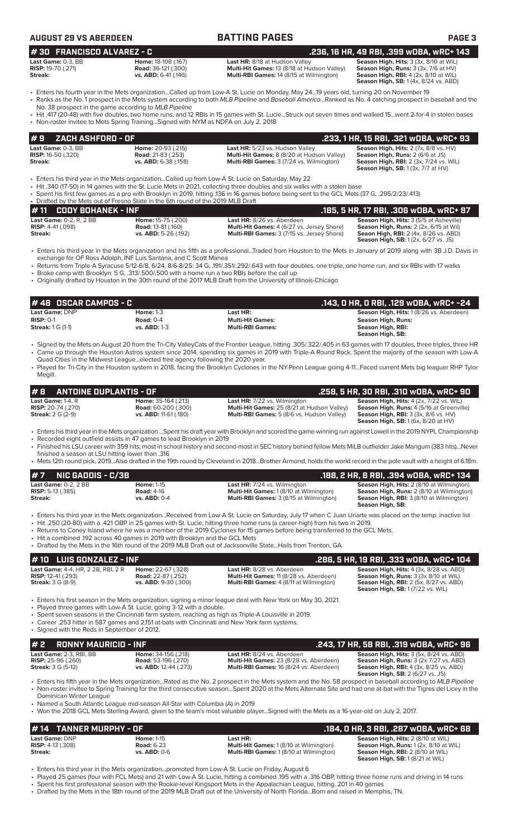|--|

# **AUGUST 29 VS ABERDEEN BATTING PAGES PAGE 3**

| <b>Last Game:</b> 0-3. BB |   |
|---------------------------|---|
| <b>RISP:</b> 19-70 (.271) | R |
| Streak:                   |   |

**lome:** 18-108 (.167) **Last HR:** 8/18 at Hudson Valley **Season High, Hits:** 3 (3x, 8/10 at WIL)<br>**Lad:** 36-121 (.300) **Multi-Hit Games:** 13 (8/18 at Hudson Valley) **Season High, Runs:** 3 (3x, 7/6 at HV) **RIGE: 1988: 1989: Partical Coad: 36-121 (.300) Multi-Hit Games: 13 (8/18 at Hudson Valley)<br><b>Multi-RBI Games:** 14 (8/15 at Wilmington) **Multi-RBI Games:** 14 (8/15 at Wilmington)

**Season High, RBI:** 4 (2x, 8/10 at WIL)<br>**Season High, SB:** 1 (4x, 8/24 vs. ABD)

- Enters his fourth year in the Mets organization...Called up from Low-A St. Lucie on Monday, May 24...19 years old, turning 20 on November 19 • Ranks as the No. 1 prospect in the Mets system according to both *MLB Pipeline* and *Baseball America*...Ranked as No. 4 catching prospect in baseball and the
- No. 38 prospect in the game according to *MLB Pipeline* • Hit .417 (20-48) with five doubles, two home runs, and 12 RBIs in 15 games with St. Lucie...Struck out seven times and walked 15...went 2-for-4 in stolen bases
- Non-roster invitee to Mets Spring Training...Signed with NYM as NDFA on July 2, 2018

| 1#9    ZACH ASHFORD - OF                               |                                                        |                                                                                      | .233, 1 HR, 15 RBI, .321 wOBA, wRC+ 93                                                         |
|--------------------------------------------------------|--------------------------------------------------------|--------------------------------------------------------------------------------------|------------------------------------------------------------------------------------------------|
| <b>Last Game: 0-3. BB</b><br><b>RISP:</b> 16-50 (.320) | <b>Home:</b> 20-93 (.215)<br><b>Road:</b> 21-83 (.253) | Last HR: 5/23 vs. Hudson Valley<br><b>Multi-Hit Games:</b> 8 (8/20 at Hudson Valley) | <b>Season High, Hits:</b> $2$ (7x, $8/8$ vs. $HV$ )<br><b>Season High, Runs: 2 (6/6 at JS)</b> |
| Streak:                                                | vs. ABD: 6-38 (.158)                                   | <b>Multi-RBI Games: 3 (7/24 vs. Wilmington)</b>                                      | <b>Season High, RBI:</b> 2 (3x, 7/24 vs. WIL)<br><b>Season High, SB:</b> $1(3x, 7/7$ at $HV$ ) |

- Enters his third year in the Mets organization...Called up from Low-A St. Lucie on Saturday, May 22
- Hit .340 (17-50) in 14 games with the St. Lucie Mets in 2021, collecting three doubles and six walks with a stolen base
- Spent his first few games as a pro with Brooklyn in 2019, hitting .136 in 16 games before being sent to the GCL Mets (37 G, .295/2/23/.413)

Drafted by the Mets out of Fresno State in the 6th round of the 2019 MLB Draft<br>• 11 CODY BOHANEK - INF **# 11 CODY BOHANEK - INF**<br> **Last Game:** 0-2, R, 2 BB **.185, 2 Home:** 15-75 (.200) **.185, 9 Herre, 8/26 vs. Aberdeen**<br> **RISP: 4-41 (.098) RISP: 4-41 (.098)** Road: 13-81 (.160) **.185, 2 Multi-Hit Games: 4 (6/27 vs. Jersey Last Game:** 0-2, R, 2 BB **Home:** 15-75 (.200) **Last HR:** 8/26 vs. Aberdeen **Season High, Hits:** 3 (5/5 at Asheville) **RISP:** 4-41 (.098) **Road:** 13-81 (.160) **Multi-Hit Games:** 4 (6/27 vs. Jersey Shore) **Season High, Runs:** 2 (2x, 6/15 at Wil) **Streak: vs. ABD:** 5-26 (.192) **Multi-RBI Games:** 3 (7/15 vs. Jersey Shore) **Seaon High, RBI:** 2 (4x, 8/26 vs. ABD) **Season High, SB:** 1 (2x, 6/27 vs. JS)

- Enters his third year in the Mets organization and his fifth as a professional...Traded from Houston to the Mets in January of 2019 along with 3B J.D. Davis in exchange for OF Ross Adolph, INF Luis Santana, and C Scott Manea
- Returns from Triple-A Syracuse 5/12-6/8, 6/24, 8/6-8/25: 34 G, .191/.351/.292/.643 with four doubles, one triple, one home run, and six RBIs with 17 walks • Broke camp with Brooklyn: 5 G, .313/.500/.500 with a home run a two RBIs before the call up
- Originally drafted by Houston in the 30th round of the 2017 MLB Draft from the University of Illinois-Chicago

| $# 48$ OSCAR CAMPOS - C  |                  |                         | .143, O HR, O RBI, .129 wOBA, wRC+ -24  |
|--------------------------|------------------|-------------------------|-----------------------------------------|
| <b>Last Game: DNP</b>    | Home: $1-3$      | Last HR:                | Season High, Hits: 1(8/26 vs. Aberdeen) |
| $RISP: 0-1$              | Road: $0-4$      | <b>Multi-Hit Games:</b> | Season High, Runs:                      |
| <b>Streak:</b> 1 G (1-1) | $vs.$ ABD: $1-3$ | <b>Multi-RBI Games:</b> | Season High, RBI:<br>Season High, SB:   |

- Signed by the Mets on August 20 from the Tri-City ValleyCats of the Frontier League, hitting .305/.322/.405 in 63 games with 17 doubles, three triples, three HR • Came up through the Houston Astros system since 2014, spending six games in 2019 with Triple-A Round Rock. Spent the majority of the season with Low-A Quad Cities in the Midwest League...elected free agency following the 2020 year.
- Played for Tri-City in the Houston system in 2018, facing the Brooklyn Cyclones in the NY-Penn League going 4-11...Faced current Mets big leaguer RHP Tylor Megill.

|                           | $\#$ 8 ANTOINE DUPLANTIS - OF |                              |                                                    | .258, 5 HR, 30 RBI, .310 w0BA, wRC+ 90                                                               |
|---------------------------|-------------------------------|------------------------------|----------------------------------------------------|------------------------------------------------------------------------------------------------------|
| Last Game: 1-4. $R$       |                               | <b>Home:</b> 35-164 (.213)   | <b>Last HR:</b> 7/22 vs. Wilmington                | <b>Season High, Hits: 4 (2x, 7/22 vs. WIL)</b>                                                       |
| <b>RISP:</b> 20-74 (.270) |                               | <b>Road:</b> 60-200 (.300)   | <b>Multi-Hit Games:</b> 25 (8/21 at Hudson Valley) | <b>Season High, Runs:</b> 4 (5/16 at Greenville)                                                     |
| <b>Streak: 2 G (2-9)</b>  |                               | <b>vs. ABD:</b> 11-61 (.180) | <b>Multi-RBI Games:</b> 5 (8/6 vs. Hudson Valley)  | <b>Season High, RBI:</b> $3$ ( $3x$ , $8/6$ vs. $HV$ )<br><b>Season High, SB:</b> 1 (6x, 8/20 at HV) |

- Enters his third year in the Mets organization ...Spent his draft year with Brooklyn and scored the game-winning run against Lowell in the 2019 NYPL Championship
- Recorded eight outfield assists in 47 games to lead Brooklyn in 2019
- Finished his LSU career with 359 hits, most in school history and second-most in SEC history behind fellow Mets MiLB outfielder Jake Mangum (383 hits)...Never finished a season at LSU hitting lower than .316
- Mets 12th round pick, 2019...Also drafted in the 19th round by Cleveland in 2018...Brother Armond, holds the world record in the pole vault with a height of 6.18m.

|                                       | $#7$ NIC GADDIS - C/3B      |                                                               |                                                                                                                                                                                                                                                                                                                                                                                                                             | .188, 2 HR, 8 RBI, .394 wOBA, wRC+ 134                                                                                                                               |
|---------------------------------------|-----------------------------|---------------------------------------------------------------|-----------------------------------------------------------------------------------------------------------------------------------------------------------------------------------------------------------------------------------------------------------------------------------------------------------------------------------------------------------------------------------------------------------------------------|----------------------------------------------------------------------------------------------------------------------------------------------------------------------|
| <b>RISP:</b> 5-13 $(.385)$<br>Streak: | <b>Last Game: 0-2. 2 BB</b> | <b>Home: 1-15</b><br><b>Road: 4-16</b><br><b>vs. ABD: 0-4</b> | <b>Last HR:</b> 7/24 vs. Wilmington<br><b>Multi-Hit Games: 1 (8/10 at Wilmington)</b><br><b>Multi-RBI Games: 3 (8/15 at Wilmington)</b>                                                                                                                                                                                                                                                                                     | <b>Season High, Hits: 2 (8/10 at Wilmington)</b><br>Season High, Runs: 2 (8/10 at Wilmington)<br><b>Season High, RBI: 3 (8/10 at Wilmington)</b><br>Season High, SB: |
|                                       |                             |                                                               | • Enters his third year in the Mets organizationReceived from Low-A St. Lucie on Saturday, July 17 when C Juan Uriarte was placed on the temp. inactive list<br>• Hit .250 (20-80) with a .421 OBP in 25 games with St. Lucie, hitting three home runs (a career-high) from his two in 2019.<br>• Returns to Coney Island where he was a member of the 2019 Cyclones for 15 games before being transferred to the GCL Mets. |                                                                                                                                                                      |

- Hit a combined .192 across 40 games in 2019 with Brooklyn and the GCL Mets
- Drafted by the Mets in the 16th round of the 2019 MLB Draft out of Jacksonville State...Hails from Trenton, GA.

| $#$ 10 LUIS GONZALEZ - INF.                                                                        |                                                                         |                                                                                                                         | .286. 5 HR. 19 RBI. .333 WOBA. WRC+ 104                                                                                                                                       |  |  |  |  |  |
|----------------------------------------------------------------------------------------------------|-------------------------------------------------------------------------|-------------------------------------------------------------------------------------------------------------------------|-------------------------------------------------------------------------------------------------------------------------------------------------------------------------------|--|--|--|--|--|
| <b>Last Game:</b> 4-4, HR, 2 2B, RBI, 2 R<br><b>RISP:</b> 12-41 (.293)<br><b>Streak:</b> 3 G (8-9) | Home: 22-67 (.328)<br><b>Road: 22-87 (.252)</b><br>vs. ABD: 9-30 (.300) | Last HR: 8/28 vs. Aberdeen<br>Multi-Hit Games: 11 (8/28 vs. Aberdeen)<br><b>Multi-RBI Games: 4 (8/11 at Wilmington)</b> | <b>Season High, Hits: 4 (3x, 8/28 vs. ABD)</b><br>Season High, Runs: 3 (3x 8/10 at WIL)<br><b>Season High, RBI:</b> 2 (5x, 8/27 vs. ABD)<br>Season High, SB: 1 (7/22 vs. WIL) |  |  |  |  |  |
| . Played three games with $I_{\text{OW-}}\Delta St$ Lucie going 3-12 with a double                 |                                                                         | • Enters his first season in the Mets organization, signing a minor league deal with New York on May 30, 2021.          |                                                                                                                                                                               |  |  |  |  |  |

- Played three games with Low-A St. Lucie, going 3-12 with a double.
- Spent seven seasons in the Cincinnati farm system, reaching as high as Triple-A Louisville in 2019.
- Career .253 hitter in 587 games and 2,151 at-bats with Cincinnati and New York farm systems.
- Signed with the Reds in September of 2012.

| $# 2$ RONNY MAURICIO - INF  |                              |                                                | .243, 17 HR, 58 RBI, .319 wOBA, wRC+ 96           |
|-----------------------------|------------------------------|------------------------------------------------|---------------------------------------------------|
| Last Game: 2-3, RBI, BB     | Home: 34-156 (.218)          | Last HR: 8/24 vs. Aberdeen                     | <b>Season High, Hits: 3 (5x, 8/24 vs. ABD)</b>    |
| <b>RISP:</b> $25-96$ (.260) | <b>Road:</b> 53-196 (.270)   | <b>Multi-Hit Games: 23 (8/28 vs. Aberdeen)</b> | <b>Season High, Runs: 3 (2x 7/27 vs. ABD)</b>     |
| <b>Streak:</b> 3 G (5-12)   | <b>vs. ABD:</b> 12-44 (.273) | <b>Multi-RBI Games: 16 (8/24 vs. Aberdeen)</b> | <b>Season High, RBI:</b> $4$ (3x, $8/25$ vs. ABD) |
|                             |                              |                                                | <b>Season High, SB:</b> 2 (6/27 vs. JS)           |

• Enters his fifth year in the Mets organization...Rated as the No. 2 prospect in the Mets system and the No. 58 prospect in baseball according to *MLB Pipeline* • Non-roster invitee to Spring Training for the third consecutive season...Spent 2020 at the Mets Alternate Site and had one at-bat with the Tigres del Licey in the Dominican Winter League

- Named a South Atlantic League mid-season All-Star with Columbia (A) in 2019
- Won the 2018 GCL Mets Sterling Award, given to the team's most valuable player...Signed with the Mets as a 16-year-old on July 2, 2017.

# **Last Game:** DNP **Home:** 1-15 **Last HR: Season High, Hits:** 2 (8/10 at WIL) **# 14 TANNER MURPHY - OF .184, 0 HR, 3 RBI, .287 wOBA, wRC+ 68**

**RISP:** 4-13 (.308) **Road:** 6-23 **Multi-Hit Games:** 1 (8/10 at Wilmington) **Season High, Runs:** 1 (2x, 8/10 at WIL) **Streak: vs. ABD:** 0-6 **Multi-RBI Games:** 1 (8/10 at Wilmington) **Season High, RBI:** 2 (8/10 at WIL) **Season High, SB:** 1 (8/21 at WIL)

- Enters his third year in the Mets organization...promoted from Low-A St. Lucie on Friday, August 6
- Played 25 games (four with FCL Mets) and 21 with Low-A St. Lucie, hitting a combined .195 with a .316 OBP, hitting three home runs and driving in 14 runs • Spent his first professional season with the Rookie-level Kingsport Mets in the Appalachian League, hitting. 201 in 40 games
- Drafted by the Mets in the 18th round of the 2019 MLB Draft out of the University of North Florida...Born and raised in Memphis, TN.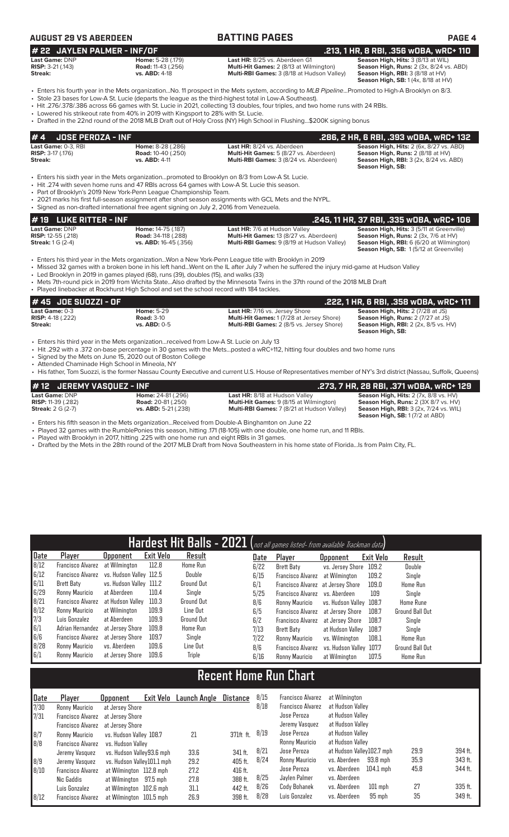| <b>AUGUST 29 VS ABERDEEN</b>                                     |                                                                                                                                                                                  | <b>BATTING PAGES</b>                                                                                                                                                                                                                                                                                                                                                                                                                                                                                                       | <b>PAGE 4</b>                                                                                                                                                           |
|------------------------------------------------------------------|----------------------------------------------------------------------------------------------------------------------------------------------------------------------------------|----------------------------------------------------------------------------------------------------------------------------------------------------------------------------------------------------------------------------------------------------------------------------------------------------------------------------------------------------------------------------------------------------------------------------------------------------------------------------------------------------------------------------|-------------------------------------------------------------------------------------------------------------------------------------------------------------------------|
| # 22 JAYLEN PALMER - INF/OF                                      |                                                                                                                                                                                  |                                                                                                                                                                                                                                                                                                                                                                                                                                                                                                                            | .213, 1 HR, 8 RBI, .356 WOBA, WRC+ 110                                                                                                                                  |
| Last Game: DNP<br><b>RISP: 3-21 (.143)</b><br>Streak:            | Home: 5-28 (.179)<br><b>Road: 11-43 (.256)</b><br><b>vs. ABD: 4-18</b>                                                                                                           | Last HR: 8/25 vs. Aberdeen G1<br>Multi-Hit Games: 2 (8/13 at Wilmington)<br>Multi-RBI Games: 3 (8/18 at Hudson Valley)                                                                                                                                                                                                                                                                                                                                                                                                     | Season High, Hits: 3 (8/13 at WIL)<br>Season High, Runs: 2 (3x, 8/24 vs. ABD)<br>Season High, RBI: 3 (8/18 at HV)<br>Season High, SB: 1 (4x, 8/18 at HV)                |
|                                                                  | • Lowered his strikeout rate from 40% in 2019 with Kingsport to 28% with St. Lucie.                                                                                              | · Enters his fourth year in the Mets organizationNo. 11 prospect in the Mets system, according to MLB PipelinePromoted to High-A Brooklyn on 8/3.<br>• Stole 23 bases for Low-A St. Lucie (departs the league as the third-highest total in Low-A Southeast).<br>• Hit .276/.378/.386 across 66 games with St. Lucie in 2021, collecting 13 doubles, four triples, and two home runs with 24 RBIs.<br>• Drafted in the 22nd round of the 2018 MLB Draft out of Holy Cross (NY) High School in Flushing\$200K signing bonus |                                                                                                                                                                         |
| #4<br><b>JOSE PEROZA - INF</b>                                   |                                                                                                                                                                                  |                                                                                                                                                                                                                                                                                                                                                                                                                                                                                                                            | .286, 2 HR, 6 RBI, .393 wOBA, wRC+ 132                                                                                                                                  |
| Last Game: 0-3, RBI<br>RISP: 3-17 (.176)<br>Streak:              | Home: 8-28 (.286)<br><b>Road: 10-40 (.250)</b><br>vs. ABD: 4-11                                                                                                                  | Last HR: 8/24 vs. Aberdeen<br>Multi-Hit Games: 5 (8/27 vs. Aberdeen)<br>Multi-RBI Games: 3 (8/24 vs. Aberdeen)                                                                                                                                                                                                                                                                                                                                                                                                             | Season High, Hits: 2 (6x, 8/27 vs. ABD)<br>Season High, Runs: 2 (8/18 at HV)<br><b>Season High, RBI: 3 (2x, 8/24 vs. ABD)</b><br><b>Season High, SB:</b>                |
|                                                                  | • Part of Brooklyn's 2019 New York-Penn League Championship Team.<br>• Signed as non-drafted international free agent signing on July 2, 2016 from Venezuela.                    | • Enters his sixth year in the Mets organizationpromoted to Brooklyn on 8/3 from Low-A St. Lucie.<br>• Hit .274 with seven home runs and 47 RBIs across 64 games with Low-A St. Lucie this season.<br>• 2021 marks his first full-season assignment after short season assignments with GCL Mets and the NYPL.                                                                                                                                                                                                             |                                                                                                                                                                         |
| <b>LUKE RITTER - INF</b><br>#19                                  |                                                                                                                                                                                  |                                                                                                                                                                                                                                                                                                                                                                                                                                                                                                                            | .245, 11 HR, 37 RBI, .335 wOBA, wRC+ 106                                                                                                                                |
| Last Game: DNP<br>RISP: 12-55 (.218)<br><b>Streak:</b> 1 G (2-4) | Home: 14-75 (.187)<br><b>Road: 34-118 (.288)</b><br>vs. ABD: 16-45 (.356)                                                                                                        | Last HR: 7/6 at Hudson Valley<br>Multi-Hit Games: 13 (8/27 vs. Aberdeen)<br>Multi-RBI Games: 9 (8/19 at Hudson Valley)                                                                                                                                                                                                                                                                                                                                                                                                     | Season High, Hits: 3 (5/11 at Greenville)<br>Season High, Runs: 2 (3x, 7/6 at HV)<br>Season High, RBI: 6 (6/20 at Wilmington)<br>Season High, SB: 1(5/12 at Greenville) |
|                                                                  | • Led Brooklyn in 2019 in games played (68), runs (39), doubles (15), and walks (33)<br>• Played linebacker at Rockhurst High School and set the school record with 184 tackles. | Enters his third year in the Mets organizationWon a New York-Penn League title with Brooklyn in 2019<br>• Missed 32 games with a broken bone in his left handWent on the IL after July 7 when he suffered the injury mid-game at Hudson Valley<br>• Mets 7th-round pick in 2019 from Wichita StateAlso drafted by the Minnesota Twins in the 37th round of the 2018 MLB Draft                                                                                                                                              |                                                                                                                                                                         |
| JOE SUOZZI - OF<br>#45                                           |                                                                                                                                                                                  |                                                                                                                                                                                                                                                                                                                                                                                                                                                                                                                            | .222, 1 HR, 6 RBI, .358 wOBA, wRC+ 111                                                                                                                                  |
| Last Game: 0-3<br>RISP: 4-18 (.222)<br>Streak:                   | <b>Home: 5-29</b><br><b>Road: 3-10</b><br><b>vs. ABD: 0-5</b>                                                                                                                    | Last HR: 7/16 vs. Jersey Shore<br>Multi-Hit Games: 1 (7/28 at Jersey Shore)<br>Multi-RBI Games: 2 (8/5 vs. Jersey Shore)                                                                                                                                                                                                                                                                                                                                                                                                   | Season High, Hits: 2 (7/28 at JS)<br>Season High, Runs: 2 (7/27 at JS)<br>Season High, RBI: 2 (2x, 8/5 vs. HV)<br>Season High, SB:                                      |

- Enters his third year in the Mets organization...received from Low-A St. Lucie on July 13
- Hit .292 with a .372 on-base percentage in 30 games with the Mets...posted a wRC+112, hitting four doubles and two home runs
- Signed by the Mets on June 15, 2020 out of Boston College
- Attended Chaminade High School in Mineola, NY
- His father, Tom Suozzi, is the former Nassau County Executive and current U.S. House of Representatives member of NY's 3rd district (Nassau, Suffolk, Queens)

| #12 JEREMY VASQUEZ - INF    |                            |                                                   | .273, 7 HR, 28 RBI, .371 wOBA, wRC+ 129               |
|-----------------------------|----------------------------|---------------------------------------------------|-------------------------------------------------------|
| Last Game: DNP              | <b>Home:</b> 24-81 (.296)  | <b>Last HR: 8/18 at Hudson Valley</b>             | Season High, Hits: 2 (7x, 8/8 vs. HV)                 |
| <b>RISP:</b> 11-39 $(.282)$ | <b>Road:</b> 20-81 (.250)  | <b>Multi-Hit Games:</b> 9 (8/15 at Wilmington)    | <b>Season High, Runs: 2 (3X 8/7 vs. HV)</b>           |
| <b>Streak:</b> 2 G (2-7)    | <b>vs. ABD:</b> 5-21(.238) | <b>Multi-RBI Games:</b> 7 (8/21 at Hudson Valley) | <b>Season High, RBI:</b> $3$ ( $2x$ , $7/24$ vs. WIL) |
|                             |                            |                                                   | <b>Season High, SB:</b> 1 (7/2 at ABD)                |

- Enters his fifth season in the Mets organization...Received from Double-A Binghamton on June 22
- Played 32 games with the RumblePonies this season, hitting .171 (18-105) with one double, one home run, and 11 RBIs.
- Played with Brooklyn in 2017, hitting .225 with one home run and eight RBIs in 31 games.
- Drafted by the Mets in the 28th round of the 2017 MLB Draft from Nova Southeastern in his home state of Florida...Is from Palm City, FL.

| Hardest Hit Balls - 2021 (not all games listed- from available Trackman data) |                                           |                         |                  |                   |  |      |                                   |                         |           |                        |
|-------------------------------------------------------------------------------|-------------------------------------------|-------------------------|------------------|-------------------|--|------|-----------------------------------|-------------------------|-----------|------------------------|
| Date                                                                          | Player                                    | Upponent                | <b>Exit Velo</b> | Result            |  | Date | Player                            | <b>Opponent</b>         | Exit Velo | Result                 |
| 8/12                                                                          | <b>Francisco Alvarez</b>                  | at Wilmington           | 112.8            | <b>Home Run</b>   |  | 6/22 | Brett Baty                        | vs. Jersey Shore 109.2  |           | <b>Double</b>          |
| 6/12                                                                          | Francisco Alvarez vs. Hudson Valley 112.5 |                         |                  | Double            |  | 6/15 | <b>Francisco Alvarez</b>          | at Wilmington           | 109.2     | Single                 |
| 6/11                                                                          | Brett Baty                                | vs. Hudson Valley 111.2 |                  | <b>Ground Out</b> |  | 6/1  | Francisco Alvarez at Jersey Shore |                         | 109.0     | <b>Home Run</b>        |
| 6/29                                                                          | Ronny Mauricio                            | at Aberdeen             | 110.4            | Single            |  | 5/25 | Francisco Alvarez vs. Aberdeen    |                         | 109       | Single                 |
| 8/21                                                                          | Francisco Alvarez                         | at Hudson Vallev        | 110.3            | <b>Ground Out</b> |  | 8/6  | Ronny Mauricio                    | vs. Hudson Valley 108.7 |           | <b>Home Rune</b>       |
| 8/12                                                                          | Ronny Mauricio                            | at Wilmington           | 109.9            | Line Out          |  | 6/5  | <b>Francisco Alvarez</b>          | at Jersev Shore         | 108.7     | <b>Ground Ball Out</b> |
| 7/3                                                                           | Luis Gonzalez                             | at Aberdeen             | 109.9            | <b>Ground Out</b> |  | 6/2  | <b>Francisco Alvarez</b>          | at Jersev Shore         | 108.7     | Single                 |
| 6/1                                                                           | Adrian Hernandez                          | at Jersev Shore         | 109.8            | Home Run          |  | 7/13 | Brett Baty                        | at Hudson Valley        | 108.7     | Single                 |
| 6/6                                                                           | Francisco Alvarez                         | at Jersev Shore         | 109.7            | Single            |  | 7/22 | Ronny Mauricio                    | vs. Wilminaton          | 108.1     | <b>Home Run</b>        |
| 8/28                                                                          | Ronny Mauricio                            | vs. Aberdeen            | 109.6            | Line Out          |  | 8/6  | <b>Francisco Alvarez</b>          | vs. Hudson Valley 107.7 |           | Ground Ball Out        |
| 6/1                                                                           | Ronny Mauricio                            | at Jersev Shore         | 109.6            | Triple            |  | 6/16 | Ronny Mauricio                    | at Wilmington           | 107.5     | <b>Home Run</b>        |

# **Recent Home Run Chart**

| Date | Player            | Exit Velo<br><b>Opponent</b> | Launch Angle | Distance  | 8/15 | Francisco Alvarez | at Wilmington               |      |         |
|------|-------------------|------------------------------|--------------|-----------|------|-------------------|-----------------------------|------|---------|
| 7/30 | Ronny Mauricio    | at Jersey Shore              |              |           | 8/18 | Francisco Alvarez | at Hudson Valley            |      |         |
| 7/31 | Francisco Alvarez | at Jersev Shore              |              |           |      | Jose Peroza       | at Hudson Valley            |      |         |
|      | Francisco Alvarez | at Jersev Shore              |              |           |      | Jeremy Vasquez    | at Hudson Valley            |      |         |
| 8/7  | Ronny Mauricio    | vs. Hudson Valley 108.7      | 21           | 371ft ft. | 8/19 | Jose Peroza       | at Hudson Valley            |      |         |
| 8/8  | Francisco Alvarez | vs. Hudson Valley            |              |           |      | Ronny Mauricio    | at Hudson Valley            |      |         |
|      | Jeremy Vasquez    | vs. Hudson Valley93.6 mph    | 33.6         | 341 ft.   | 8/21 | Jose Peroza       | at Hudson Valley102.7 mph   | 29.9 | 394 ft. |
| 8/9  | Jeremy Vasquez    | vs. Hudson Valley101.1 mph   | 29.2         | 405 ft.   | 8/24 | Ronny Mauricio    | vs. Aberdeen<br>93.8 mph    | 35.9 | 343 ft. |
| 8/10 | Francisco Alvarez | at Wilmington 112.8 mph      | 27.2         | 416 ft.   |      | Jose Peroza       | $104.1$ mph<br>vs. Aberdeen | 45.8 | 344 ft. |
|      | Nic Gaddis        | at Wilmington 97.5 mph       | 27.8         | 388 ft.   | 8/25 | Jaylen Palmer     | vs. Aberdeen                |      |         |
|      | Luis Gonzalez     | at Wilmington 102.6 mph      | 31.1         | 442 ft.   | 8/26 | Cody Bohanek      | vs. Aberdeen<br>$101$ mph   | 27   | 335 ft. |
| 8/12 | Francisco Alvarez | at Wilmington 101.5 mph      | 26.9         | 398 ft.   | 8/28 | Luis Gonzalez     | vs. Aberdeen<br>95 mph      | 35   | 349 ft. |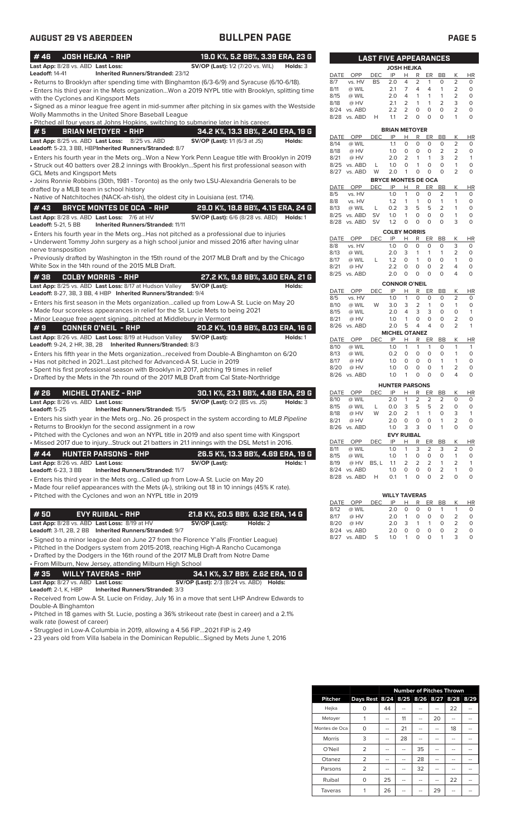| #46<br>Last App: 8/28 vs. ABD Last Loss:                                                                                                                                                                                                                      | <b>JOSH HEJKA - RHP</b>                                                      |              | 19.0 K%, 5.2 BB%, 3.39 ERA, 23 G<br><b>SV/OP (Last):</b> 1/2 (7/20 vs. WIL)                  |          | Holds: 3 |
|---------------------------------------------------------------------------------------------------------------------------------------------------------------------------------------------------------------------------------------------------------------|------------------------------------------------------------------------------|--------------|----------------------------------------------------------------------------------------------|----------|----------|
| <b>Leadoff: 14-41</b>                                                                                                                                                                                                                                         | <b>Inherited Runners/Stranded: 23/12</b>                                     |              |                                                                                              |          |          |
| - Returns to Brooklyn after spending time with Binghamton (6/3-6/9) and Syracuse (6/10-6/18).<br>Enters his third year in the Mets organizationWon a 2019 NYPL title with Brooklyn, splitting time<br>with the Cyclones and Kingsport Mets                    |                                                                              |              |                                                                                              |          |          |
| Signed as a minor league free agent in mid-summer after pitching in six games with the Westside •<br>Wolly Mammoths in the United Shore Baseball League                                                                                                       |                                                                              |              |                                                                                              |          |          |
| · Pitched all four years at Johns Hopkins, switching to submarine later in his career.                                                                                                                                                                        |                                                                              |              |                                                                                              |          |          |
| #5                                                                                                                                                                                                                                                            | <b>BRIAN METOYER - RHP</b>                                                   |              | 34.2 K%, 13.3 BB%, 2.40 ERA, 19 G                                                            |          |          |
| Last App: 8/25 vs. ABD Last Loss:<br>Leadoff: 5-23, 3 BB, HBPInherited Runners/Stranded: 8/7                                                                                                                                                                  |                                                                              | 8/25 vs. ABD | <b>SV/OP (Last):</b> 1/1 (6/3 at JS)                                                         |          | Holds:   |
| Enters his fourth year in the Mets orgWon a New York Penn League title with Brooklyn in 2019<br>· Struck out 40 batters over 28.2 innings with BrooklynSpent his first professional season with<br>GCL Mets and Kingsport Mets                                |                                                                              |              |                                                                                              |          |          |
| • Joins Ronnie Robbins (30th, 1981 - Toronto) as the only two LSU-Alexandria Generals to be<br>drafted by a MLB team in school history                                                                                                                        |                                                                              |              |                                                                                              |          |          |
| • Native of Natchitoches (NACK-ah-tish), the oldest city in Louisiana (est. 1714).                                                                                                                                                                            |                                                                              |              |                                                                                              |          |          |
| #43<br>Last App: 8/28 vs. ABD Last Loss: 7/6 at HV<br>Leadoff: 5-21, 5 BB                                                                                                                                                                                     | <b>BRYCE MONTES DE OCA - RHP</b><br><b>Inherited Runners/Stranded: 11/11</b> |              | 29.0 K%, 18.8 BB%, 4.15 ERA, 24 G<br><b>SV/OP (Last):</b> 6/6 (8/28 vs. ABD) <b>Holds:</b> 1 |          |          |
| • Enters his fourth year in the Mets orgHas not pitched as a professional due to injuries<br>• Underwent Tommy John surgery as a high school junior and missed 2016 after having ulnar                                                                        |                                                                              |              |                                                                                              |          |          |
| nerve transposition<br>• Previously drafted by Washington in the 15th round of the 2017 MLB Draft and by the Chicago<br>White Sox in the 14th round of the 2015 MLB Draft.                                                                                    |                                                                              |              |                                                                                              |          |          |
| #38                                                                                                                                                                                                                                                           | <b>COLBY MORRIS - RHP</b>                                                    |              | 27.2 K%, 9.8 BB%, 3.60 ERA, 21 G                                                             |          |          |
| Last App: 8/25 vs. ABD Last Loss: 8/17 at Hudson Valley<br>Leadoff: 8-27, 3B, 3 BB, 4 HBP Inherited Runners/Stranded: 9/4                                                                                                                                     |                                                                              |              | SV/OP (Last):                                                                                |          | Holds:   |
| • Enters his first season in the Mets organizationcalled up from Low-A St. Lucie on May 20<br>• Made four scoreless appearances in relief for the St. Lucie Mets to being 2021<br>• Minor League free agent signingpitched at Middlebury in Vermont           |                                                                              |              |                                                                                              |          |          |
| #9                                                                                                                                                                                                                                                            | <b>CONNER O'NEIL - RHP</b>                                                   |              | 20.2 K%, 10.9 BB%, 8.03 ERA, 16 G                                                            |          |          |
| Last App: 8/26 vs. ABD Last Loss: 8/19 at Hudson Valley<br>Leadoff: 9-24, 2 HR, 3B, 2B Inherited Runners/Stranded: 8/3                                                                                                                                        |                                                                              |              | SV/OP (Last):                                                                                |          | Holds: 1 |
| • Enters his fifth year in the Mets organizationreceived from Double-A Binghamton on 6/20<br>• Has not pitched in 2021Last pitched for Advanced-A St. Lucie in 2019                                                                                           |                                                                              |              |                                                                                              |          |          |
| • Spent his first professional season with Brooklyn in 2017, pitching 19 times in relief                                                                                                                                                                      |                                                                              |              |                                                                                              |          |          |
| • Drafted by the Mets in the 7th round of the 2017 MLB Draft from Cal State-Northridge                                                                                                                                                                        |                                                                              |              |                                                                                              |          |          |
| # 26                                                                                                                                                                                                                                                          | <b>MICHEL OTANEZ - RHP</b>                                                   |              | 30.1 K%, 23.1 BB%, 4.68 ERA, 29 G                                                            |          |          |
| Last App: 8/26 vs. ABD Last Loss:<br>Leadoff: 5-25                                                                                                                                                                                                            | Inherited Runners/Stranded: 15/5                                             |              | <b>SV/OP (Last): 0/2 (BS vs. JS)</b>                                                         |          | Holds: 3 |
| · Enters his sixth year in the Mets orgNo. 26 prospect in the system according to MLB Pipeline<br>• Returns to Brooklyn for the second assignment in a row                                                                                                    |                                                                              |              |                                                                                              |          |          |
| • Pitched with the Cyclones and won an NYPL title in 2019 and also spent time with Kingsport                                                                                                                                                                  |                                                                              |              |                                                                                              |          |          |
| • Missed 2017 due to injuryStruck out 21 batters in 21.1 innings with the DSL Mets1 in 2016.<br>#44                                                                                                                                                           | <b>HUNTER PARSONS - RHP</b>                                                  |              | 26.5 K%, 13.3 BB%, 4.69 ERA, 19 G                                                            |          |          |
| Last App: 8/26 vs. ABD Last Loss:<br>Leadoff: 6-23, 3 BB                                                                                                                                                                                                      | <b>Inherited Runners/Stranded: 11/7</b>                                      |              | SV/OP (Last):                                                                                |          | Holds: 1 |
| · Enters his third year in the Mets orgCalled up from Low-A St. Lucie on May 20<br>• Made four relief appearances with the Mets (A-), striking out 18 in 10 innings (45% K rate).<br>• Pitched with the Cyclones and won an NYPL title in 2019                |                                                                              |              |                                                                                              |          |          |
| #50                                                                                                                                                                                                                                                           | <b>EVY RUIBAL - RHP</b>                                                      |              | 21.8 K%, 20.5 BB% 6.32 ERA, 14 G                                                             |          |          |
| Last App: 8/28 vs. ABD Last Loss: 8/19 at HV<br>Leadoff: 3-11, 2B, 2 BB Inherited Runners/Stranded: 9/7                                                                                                                                                       |                                                                              |              | SV/OP (Last):                                                                                | Holds: 2 |          |
| • Signed to a minor league deal on June 27 from the Florence Y'alls (Frontier League)<br>• Pitched in the Dodgers system from 2015-2018, reaching High-A Rancho Cucamonga<br>• Drafted by the Dodgers in the 16th round of the 2017 MLB Draft from Notre Dame |                                                                              |              |                                                                                              |          |          |
| • From Milburn, New Jersey, attending Milburn High School                                                                                                                                                                                                     |                                                                              |              |                                                                                              |          |          |
| #35<br>Last App: 8/27 vs. ABD Last Loss:<br><b>Leadoff:</b> 2-1, K, HBP                                                                                                                                                                                       | <b>WILLY TAVERAS - RHP</b><br><b>Inherited Runners/Stranded: 3/3</b>         |              | 34.1 K%, 3.7 BB% 2.62 ERA, 10 G<br><b>SV/OP (Last):</b> 2/3 (8/24 vs. ABD) <b>Holds:</b>     |          |          |
|                                                                                                                                                                                                                                                               |                                                                              |              | • Received from Low-A St. Lucie on Friday, July 16 in a move that sent LHP Andrew Edwards to |          |          |

• Received from Low-A St. Lucie on Friday, July 16 in a move that sent LHP Andrew Edwards to Double-A Binghamton

• Pitched in 18 games with St. Lucie, posting a 36% strikeout rate (best in career) and a 2.1% walk rate (lowest of career)

• Struggled in Low-A Columbia in 2019, allowing a 4.56 FIP...2021 FIP is 2.49

• 23 years old from Villa Isabela in the Dominican Republic...Signed by Mets June 1, 2016

|              |         |            | <b>FIVE APPEARANCES</b>     |                |                    |                |                |                  |           |
|--------------|---------|------------|-----------------------------|----------------|--------------------|----------------|----------------|------------------|-----------|
|              |         |            | <b>JOSH HEJKA</b>           |                |                    |                |                |                  |           |
| <b>DATE</b>  | OPP     | <b>DEC</b> | IP                          | н              | R                  | ER             | <b>BB</b>      | Κ                | <b>HR</b> |
| 8/7          | vs. HV  | <b>BS</b>  | 2.0                         | 4              | 2                  | 1              | 0              | $\overline{2}$   | 0         |
| 8/11         | @ WIL   |            | 2.1                         | 7              | $\overline{4}$     | 4              | 1              | $\overline{2}$   | 0         |
| 8/15         | @ WIL   |            | 2.0                         | 4              | 1                  | 1              | 1              | $\overline{2}$   | 0         |
| 8/18         | @ HV    |            | 2.1                         | $\overline{2}$ | 1                  | 1              | 2              | 3                | 0         |
| 8/24         | vs. ABD |            | 2.2                         | 2              | 0                  | 0              | 0              | 2                | 0         |
| 8/28         | vs. ABD | н          | 1.1                         | 2              | 0                  | O              | 0              | 1                | 0         |
|              |         |            | <b>BRIAN METOYER</b>        |                |                    |                |                |                  |           |
| DATE         | OPP     | DEC        | IP                          | Н              | R                  | ER             | BB             | Κ                | HR        |
| 8/14         | @ WIL   |            | 1.1                         | 0              | 0                  | 0              | $\circ$        | $\overline{2}$   | 0         |
| 8/18         | @ HV    |            | 1.0                         | 0              | $\mathbf 0$        | $\overline{O}$ | $\overline{2}$ | $\overline{2}$   | $\circ$   |
| 8/21         | @ HV    |            | 2.0                         | 2              | 1                  | 1              | 3              | 2                | 1         |
| 8/25         | vs. ABD | L          | 1.0                         | $\Omega$       | 1                  | 0              | $\Omega$       | 1                | $\Omega$  |
| 8/27         | vs. ABD | W          | 2.0                         | 1              | 0                  | 0              | 0              | 2                | 0         |
|              |         |            | <b>BRYCE MONTES DE OCA</b>  |                |                    |                |                |                  |           |
| DATE         | OPP     | DEC        | IP                          | н              | R                  | ER             | ВB             | Κ                | HR        |
| 8/5          | vs. HV  |            | 1.0                         | 1              | 0                  | 0              | 2              | 1                | 0         |
| 8/8          | vs. HV  |            | 1.2                         | 1              | 1                  | 0              | 1              | 1                | 0         |
| 8/13         | @ WIL   | L          | 0.2                         | 3              | 5                  | 5              | $\overline{2}$ | 1                | O         |
| 8/25         | vs. ABD | <b>SV</b>  | 1.0                         | 1              | 0                  | 0              | 0              | 1                | 0         |
| 8/28         | vs. ABD | SV         | 1.2                         | 0              | 0                  | 0              | $\Omega$       | 3                | 0         |
|              |         |            | <b>COLBY MORRIS</b>         |                |                    |                |                |                  |           |
| DATE         | OPP     | DEC        | IP                          | Н              | R                  | ER             | <b>BB</b>      | Κ                | HR        |
| 8/8          | vs. HV  |            | 1.0                         | 0              | 0                  | 0              | 0              | 3                | 0         |
| 8/13         | @ WIL   |            | 2.0                         | 3              | 1                  | 1              | 1              | $\overline{2}$   | 0         |
| 8/17         | @ WIL   | L          | 1.2                         | 0              | 1                  | 0              | 0              | 1                | 0         |
| 8/21         | @ HV    |            | 2.2                         | 0              | 0                  | 0              | 2              | 4                | 0         |
| 8/25         | vs. ABD |            | 2.0                         | 0              | 0                  | 0              | O              | 4                | 0         |
|              |         |            | <b>CONNOR O'NEIL</b>        |                |                    |                |                |                  |           |
| <b>DATE</b>  | OPP     | DEC        | IP                          | Н              | R                  | ER             | <b>BB</b>      | Κ                | HR        |
| 8/5          | vs. HV  |            | 1.0                         | 1              | 0                  | 0              | 0              | $\overline{2}$   | 0         |
| 8/10         | @ WIL   | W          | 3.0                         | 3              | $\overline{2}$     | 1              | 0              | 1                | 0         |
| 8/15         | @ WIL   |            | 2.0                         | 4              | 3                  | 3              | 0              | 0                | 1         |
| 8/21         | @ HV    |            | 1.0                         | 1              | 0                  | 0              | 0              | 2                | 0         |
| 8/26         | vs. ABD |            | 2.0                         | 5              | 4                  | 4              | 0              | $\overline{2}$   | 1         |
|              | OPP     |            | <b>MICHEL</b><br>IP         |                | <b>OTANEZ</b><br>R |                |                | Κ                |           |
| DATE<br>8/10 | @ WIL   | <b>DEC</b> | 1.0                         | Н<br>1         | 1                  | ER<br>1        | BB<br>$\circ$  | 1                | HR<br>1   |
| 8/13         | @ WIL   |            | 0.2                         | 0              | 0                  | 0              | 0              | 1                | 0         |
| 8/17         | @ HV    |            | 1.0                         | 0              | 0                  | 0              | 1              | 1                | 0         |
| 8/20         | @ HV    |            | 1.0                         | 0              | 0                  | 0              | 1              | $\overline{2}$   | 0         |
| 8/26         | vs. ABD |            | 1.0                         | 1              | 0                  | 0              | 0              | 4                | 0         |
|              |         |            |                             |                |                    |                |                |                  |           |
|              | OPP     |            | <b>HUNTER PARSONS</b><br>IP |                |                    |                |                |                  |           |
| DATE<br>8/10 | @ WIL   | <b>DEC</b> | 2.0                         | н<br>1         | R<br>2             | ER<br>2        | <b>BB</b><br>2 | Κ<br>$\mathbf 0$ | ΗR<br>0   |
| 8/15         | @ WIL   | L          | 0.0                         | 3              | 5                  | 5              | $\overline{2}$ | $\circ$          | O         |
| 8/18         | @ HV    | W          | 2.0                         | 2              | 1                  | 1              | 0              | 3                | 1         |
| 8/21         | @ HV    |            | 2.0                         | 0              | 0                  | 0              | 1              | $\overline{2}$   | 0         |
| 8/26         | vs. ABD |            | 1.0                         | 3              | 3                  | 0              | 1              | $\circ$          | 0         |
|              |         |            | <b>EVY RUIBAL</b>           |                |                    |                |                |                  |           |
| DATE         | OPP     | <b>DEC</b> | IP                          | Н              | R                  | ER             | <b>BB</b>      | Κ                | <b>HR</b> |
| 8/11         | @ WIL   |            | 1.0                         | 1              | 3                  | 2              | 3              | 2                | $\Omega$  |
| 8/15         | @ WIL   |            | 1.0                         | 1              | 0                  | 0              | 0              | 1                | 0         |
| 8/19         | @ HV    | BS, L      | 1.1                         | 2              | $\overline{2}$     | 2              | 1              | $\overline{2}$   | 1         |
| 8/24         | vs. ABD |            | 1.0                         | 0              | 0                  | 0              | 2              | 1                | 0         |
| 8/28         | vs. ABD | н          | 0.1                         | 1              | 0                  | 0              | $\overline{2}$ | $\mathbf 0$      | 0         |

|      |              |            | <b>WILLY TAVERAS</b> |    |                   |          |          |               |           |
|------|--------------|------------|----------------------|----|-------------------|----------|----------|---------------|-----------|
|      | DATE OPP     | <b>DEC</b> | IP                   | H. | R                 | ER       | BB       | K             | <b>HR</b> |
| 8/12 | @ WIL        |            | 2 O                  | O. | $\Omega$          | 0        | -1       |               |           |
| 8/17 | @ HV         |            | 2.0                  | 1  | $\Omega$          | $\Omega$ | $\Omega$ |               | O         |
| 8/20 | @ HV         |            | 2 O                  | 3  | 1                 | 1        | $\Omega$ | $\mathcal{L}$ |           |
|      | 8/24 vs. ABD |            | 2 O                  | O  | 0                 | O        | $\Omega$ |               | O         |
|      | 8/27 vs. ABD | -S         | 1.0                  | 1  | $\mathbf{\Omega}$ | $\Omega$ |          | ₹             |           |

|                | <b>Number of Pitches Thrown</b>         |    |    |    |    |    |    |  |
|----------------|-----------------------------------------|----|----|----|----|----|----|--|
| <b>Pitcher</b> | Days Rest 8/24 8/25 8/26 8/27 8/28 8/29 |    |    |    |    |    |    |  |
| Hejka          | 0                                       | 44 |    |    |    | 22 |    |  |
| Metoyer        | 1                                       |    | 11 |    | 20 |    |    |  |
| Montes de Oca  | $\Omega$                                |    | 21 |    |    | 18 |    |  |
| Morris         | 3                                       |    | 28 |    |    |    |    |  |
| O'Neil         | $\overline{2}$                          |    |    | 35 |    |    |    |  |
| Otanez         | $\overline{2}$                          | -- |    | 28 | -- |    | -- |  |
| Parsons        | 2                                       | -- |    | 32 |    |    |    |  |
| Ruibal         | O                                       | 25 |    | -- |    | 22 |    |  |
| Taveras        |                                         | 26 |    |    | 29 |    |    |  |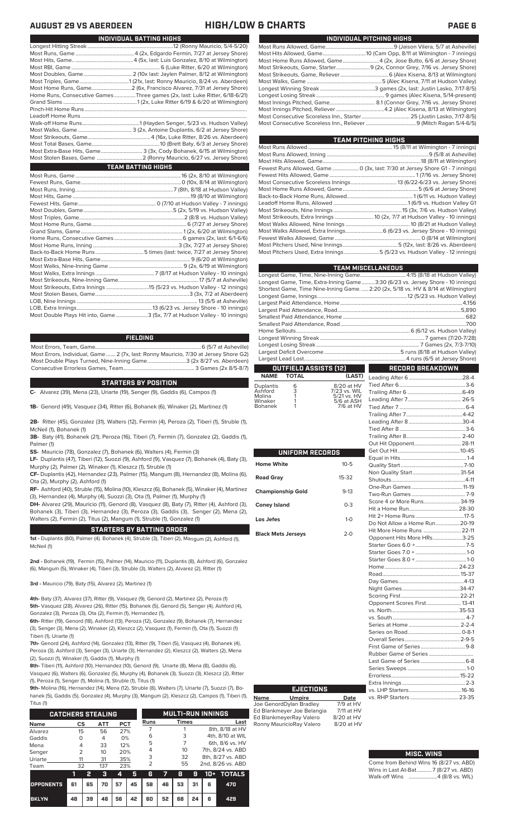| INDIVIDUAL PITCHING HIGHS                                                 |
|---------------------------------------------------------------------------|
|                                                                           |
|                                                                           |
| Most Home Runs Allowed, Game 4 (2x, Jose Butto, 6/6 at Jersey Shore)      |
| Most Strikeouts, Game, Starter 9 (2x, Connor Grey, 7/16 vs. Jersey Shore) |
|                                                                           |
|                                                                           |
|                                                                           |
|                                                                           |
|                                                                           |
|                                                                           |
|                                                                           |
|                                                                           |

| TEAM PITCHING HIGHS                                                          |
|------------------------------------------------------------------------------|
|                                                                              |
|                                                                              |
|                                                                              |
| Fewest Runs Allowed, Game  0 (3x, last: 7/30 at Jersey Shore G1 - 7 innings) |
|                                                                              |
|                                                                              |
|                                                                              |
|                                                                              |
|                                                                              |
|                                                                              |
|                                                                              |
|                                                                              |
| Most Walks Allowed, Extra Innings 6 (6/23 vs. Jersey Shore - 10 innings)     |
|                                                                              |
|                                                                              |
| Most Pitchers Used, Extra Innings 5 (5/23 vs. Hudson Valley - 12 innings)    |
|                                                                              |

|                              | <b>TEAM MISCELLANEOUS</b>                                                          |
|------------------------------|------------------------------------------------------------------------------------|
|                              |                                                                                    |
|                              | Longest Game, Time, Extra-Inning Game3:30 (6/23 vs. Jersey Shore - 10 innings)     |
|                              | Shortest Game, Time Nine-Inning Game.  2:20 (2x, 5/18 vs. HV & 8/14 at Wilmington) |
|                              |                                                                                    |
|                              |                                                                                    |
|                              |                                                                                    |
|                              |                                                                                    |
|                              |                                                                                    |
|                              |                                                                                    |
|                              |                                                                                    |
|                              |                                                                                    |
|                              |                                                                                    |
|                              |                                                                                    |
| <b>OUTFIELD ASSISTS [12]</b> | $\mathcal{L}^{\text{max}}_{\text{max}}$<br><b>RECORD BREAKDOWN</b>                 |

### **OUTFIELD ASSISTS (12) TOTAL** Leading After 6........................................28-4

Duplantis 6 8/20 at HV<br>
Ashford 3 7/23 vs. WIL<br>
Molina 1 5/21 vs. HV<br>
Winaker 1 5/6 at ASH Ashford 3 7/23 vs. WIL<br>Molina 1 5/21 vs. HV<br>Winaker 1 5/6 at ASH<br>Bohanek 1 7/6 at HV

| UNIFORM RECORDS           |              |  |
|---------------------------|--------------|--|
| Home White                | $10 - 5$     |  |
| <b>Road Gray</b>          | $15-32$      |  |
| <b>Championship Gold</b>  | $9-13$       |  |
| <b>Coney Island</b>       | $0 - 3$      |  |
| Los Jefes                 | $1 - \Omega$ |  |
| <b>Black Mets Jerseys</b> | $2 - 0$      |  |

| Score 4 or More Runs 34-19   |  |
|------------------------------|--|
|                              |  |
|                              |  |
| Do Not Allow a Home Run20-19 |  |
| Hit More Home Runs  22-11    |  |
| Opponent Hits More HRs3-25   |  |
|                              |  |
|                              |  |
|                              |  |
|                              |  |
|                              |  |
|                              |  |
|                              |  |
|                              |  |
| Opponent Scores First 13-41  |  |
|                              |  |
|                              |  |
|                              |  |
|                              |  |
|                              |  |
|                              |  |
|                              |  |
|                              |  |
|                              |  |
|                              |  |
|                              |  |
|                              |  |
|                              |  |
|                              |  |

### **MISC. WINS**

| Come from Behind Wins 16 (8/27 vs. ABD) |
|-----------------------------------------|
| Wins in Last At-Bat7 (8/27 vs. ABD)     |
| Walk-off Wins    4 (8/8 vs. WIL)        |

# **AUGUST 29 VS ABERDEEN HIGH/LOW & CHARTS PAGE 6**

| INDIVIDUAL BATTING HIGHS                                                    |
|-----------------------------------------------------------------------------|
|                                                                             |
|                                                                             |
|                                                                             |
|                                                                             |
|                                                                             |
|                                                                             |
| Most Home Runs, Game2 (6x, Francisco Alvarez, 7/31 at Jersey Shore)         |
| Home Runs, Consecutive Games Three games (2x, last: Luke Ritter, 6/18-6/21) |
|                                                                             |
|                                                                             |
|                                                                             |
|                                                                             |
|                                                                             |
|                                                                             |
|                                                                             |
| Most Extra-Base Hits, Game 3 (3x, Cody Bohanek, 6/15 at Wilmington)         |
|                                                                             |
| <b>TEAM BATTING HIGHS</b>                                                   |
|                                                                             |
|                                                                             |
|                                                                             |
|                                                                             |
|                                                                             |
|                                                                             |
|                                                                             |
|                                                                             |
|                                                                             |
|                                                                             |
|                                                                             |
|                                                                             |
|                                                                             |
|                                                                             |
|                                                                             |
|                                                                             |
|                                                                             |
|                                                                             |
|                                                                             |

LOB, Extra Innings........................................................13 (6/23 vs. Jersey Shore - 10 innings) .3 (5x, 7/7 at Hudson Valley - 10 innings)

### **FIELDING**

Most Errors, Team, Game...............................................................................6 (5/7 at Asheville) Most Errors, Individual, Game....... 2 (7x, last: Ronny Mauricio, 7/30 at Jersey Shore G2) Most Double Plays Turned, Nine-Inning Game.............................3 (2x 8/27 vs. Aberdeen) Consecutive Errorless Games, Team...

### **STARTERS BY POSITION**

**C-** Alvarez (39), Mena (23), Uriarte (19), Senger (9), Gaddis (6), Campos (1)

**1B-** Genord (49), Vasquez (34), Ritter (6), Bohanek (6), Winaker (2), Martinez (1)

**2B-** Ritter (45), Gonzalez (31), Walters (12), Fermin (4), Peroza (2), Tiberi (1), Struble (1), McNeil (1), Bohanek (1)

**3B-** Baty (41), Bohanek (21), Peroza (16), Tiberi (7), Fermin (7), Gonzalez (2), Gaddis (1), Palmer (1)

**SS-** Mauricio (78), Gonzalez (7), Bohanek (6), Walters (4), Fermin (3)

**LF-** Duplantis (47), Tiberi (12), Suozzi (9), Ashford (9), Vasquez (7), Bohanek (4), Baty (3), Murphy (2), Palmer (2), Winaker (1), Kleszcz (1), Struble (1)

**CF-** Duplantis (42), Hernandez (23), Palmer (15), Mangum (8), Hernandez (8), Molina (6), Ota (2), Murphy (2), Ashford (1)

**RF-** Ashford (40), Struble (15), Molina (10), Kleszcz (6), Bohanek (5), Winaker (4), Martinez (3), Hernandez (4), Murphy (4), Suozzi (3), Ota (1), Palmer (1), Murphy (1)

**DH-** Alvarez (29), Mauricio (11), Genord (8), Vasquez (8), Baty (7), Ritter (4), Ashford (3), Bohanek (3), Tiberi (3), Hernandez (3), Peroza (3), Gaddis (3), Senger (2), Mena (2), Walters (2), Fermin (2), Titus (2), Mangum (1), Struble (1), Gonzalez (1)

### **STARTERS BY BATTING ORDER**

**1st -** Duplantis (80), Palmer (4). Bohanek (4), Struble (3), Tiberi (2), Mangum (2), Ashford (1), McNeil (1)

**2nd -** Bohanek (19), Fermin (15), Palmer (14), Mauricio (11), Duplantis (8), Ashford (6), Gonzalez (6), Mangum (5), Winaker (4), Tiberi (3), Struble (3), Walters (2), Alvarez (2), Ritter (1)

**3rd -** Mauricio (79), Baty (15), Alvarez (2), Martinez (1)

**4th-** Baty (37), Alvarez (37), Ritter (9), Vasquez (9), Genord (2), Martinez (2), Peroza (1) **5th-** Vasquez (28), Alvarez (26), Ritter (15), Bohanek (5), Genord (5), Senger (4), Ashford (4), Gonzalez (3), Peroza (3), Ota (2), Fermin (1), Hernandez (1),

**6th-** Ritter (19), Genord (18), Ashford (13), Peroza (12), Gonzalez (9), Bohanek (7), Hernandez (3), Senger (3), Mena (2), Winaker (2), Kleszcz (2), Vasquez (1), Fermin (1), Ota (1), Suozzi (1) Tiberi (1), Uriarte (1)

**7th-** Genord (24), Ashford (14), Gonzalez (13), Ritter (9), Tiberi (5), Vasquez (4), Bohanek (4), Peroza (3), Ashford (3), Senger (3), Uriarte (3), Hernandez (2), Kleszcz (2), Walters (2), Mena (2), Suozzi (1), Winaker (1), Gaddis (1), Murphy (1)

**8th-** Tiberi (11), Ashford (10), Hernandez (10), Genord (9), Uriarte (8), Mena (8), Gaddis (6), Vasquez (6), Walters (6), Gonzalez (5), Murphy (4), Bohanek (3), Suozzi (3), Kleszcz (2), Ritter (1), Peroza (1), Senger (1), Molina (1), Struble (1), Titus (1)

**9th-** Molina (16), Hernandez (14), Mena (12), Struble (8), Walters (7), Uriarte (7), Suozzi (7), Bohanek (5), Gaddis (5), Gonzalez (4), Murphy (3), Mangum (2), Kleszcz (2), Campos (1), Tiberi (1), Titus (1)

| <b>CATCHERS STEALING</b> |           |    |                |       |      | <b>MULTI-RUN INNINGS</b> |              |    |    |      |                   |                   |  |   |  |                 |  |
|--------------------------|-----------|----|----------------|-------|------|--------------------------|--------------|----|----|------|-------------------|-------------------|--|---|--|-----------------|--|
| <b>Name</b>              | CS<br>ATT |    | <b>PCT</b>     |       | Runs |                          | <b>Times</b> |    |    | Last |                   |                   |  |   |  |                 |  |
| Alvarez                  | 15        |    | 56             | 27%   |      |                          |              |    |    |      | 8th, 8/18 at HV   |                   |  |   |  |                 |  |
| Gaddis<br>O              |           |    | 4              | $0\%$ |      | 6                        |              | 3  |    |      | 4th, 8/10 at WIL  |                   |  |   |  |                 |  |
| Mena                     |           |    |                |       | 4    |                          | 33           |    |    | 12%  |                   | 5                 |  | 7 |  | 6th, 8/6 vs. HV |  |
| Senger                   |           |    | $\overline{2}$ |       | 10   | 20%                      |              | 4  | 10 |      |                   | 7th, 8/24 vs. ABD |  |   |  |                 |  |
| Uriarte                  | 11        |    | 31             | 35%   |      | 3                        |              | 32 |    |      | 8th, 8/27 vs. ABD |                   |  |   |  |                 |  |
| Team                     | 32        |    | 137            | 23%   |      | 2                        |              | 55 |    |      | 2nd, 8/26 vs. ABD |                   |  |   |  |                 |  |
|                          | 11        | 2  | з              | 4     | 5    | 6                        | 7            | 8  | 9  | 10+  | <b>TOTALS</b>     |                   |  |   |  |                 |  |
| <b>OPPONENTS</b>         | 61        | 65 | 70             | 57    | 45   | 58                       | 46           | 53 | 31 | 6    | 470               |                   |  |   |  |                 |  |
| <b>BKLYN</b>             | 48        | 39 | 46             | 56    | 42   | 60                       | 52           | 68 | 24 | 6    | 429               |                   |  |   |  |                 |  |

**EJECTIONS**

**Name Umpire Date** Joe GenordDylan Bradley 7/9 at HV Ed Blankmeyer Joe Belangia 7/11 at HV Ed BlankmeyerRay Valero 8/20 at HV<br>Ronny MauricioRay Valero 8/20 at HV Ronny MauricioRay Valero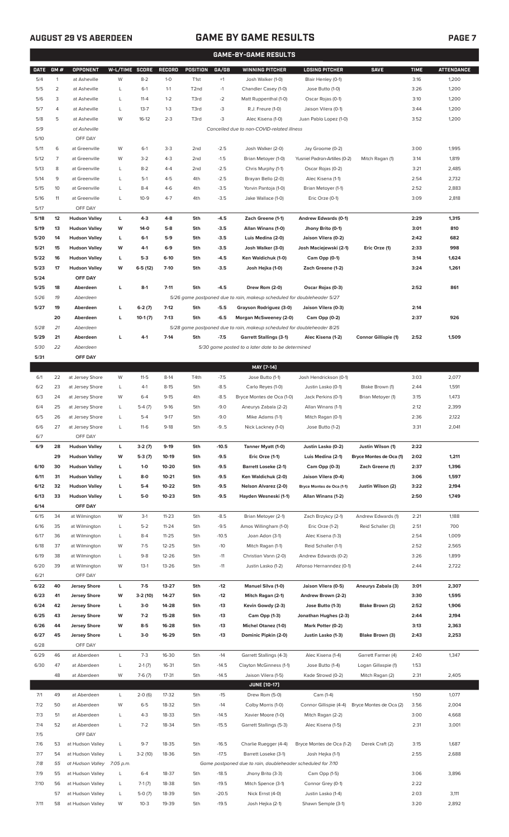# **AUGUST 29 VS ABERDEEN GAME BY GAME RESULTS**

|--|

|             | <b>GAME-BY-GAME RESULTS</b> |                            |                |                     |               |                   |         |                                                                         |                                     |                         |             |                   |
|-------------|-----------------------------|----------------------------|----------------|---------------------|---------------|-------------------|---------|-------------------------------------------------------------------------|-------------------------------------|-------------------------|-------------|-------------------|
| <b>DATE</b> | GM#                         | OPPONENT                   | W-L/TIME SCORE |                     | <b>RECORD</b> | <b>POSITION</b>   | GA/GB   | <b>WINNING PITCHER</b>                                                  | <b>LOSING PITCHER</b>               | <b>SAVE</b>             | <b>TIME</b> | <b>ATTENDANCE</b> |
| 5/4         | $\mathbf{1}$                | at Asheville               | W              | $8 - 2$             | $1-0$         | T <sub>1st</sub>  | $+1$    | Josh Walker (1-0)                                                       | Blair Henley (0-1)                  |                         | 3:16        | 1,200             |
| 5/5         | $\overline{2}$              | at Asheville               | L              | $6-1$               | $1 - 1$       | T <sub>2</sub> nd | $-1$    | Chandler Casey (1-0)                                                    | Jose Butto (1-0)                    |                         | 3:26        | 1,200             |
| 5/6         | 3                           | at Asheville               | L              | $11 - 4$            | $1 - 2$       | T3rd              | $-2$    | Matt Ruppenthal (1-0)                                                   | Oscar Rojas (0-1)                   |                         | 3:10        | 1,200             |
| 5/7         | 4                           | at Asheville               | L              | $13 - 7$            | $1 - 3$       | T3rd              | -3      | R.J. Freure (1-0)                                                       | Jaison Vilera (0-1)                 |                         | 3:44        | 1,200             |
| 5/8         | 5                           | at Asheville               | W              | $16-12$             | $2 - 3$       | T3rd              | -3      | Alec Kisena (1-0)                                                       | Juan Pablo Lopez (1-0)              |                         | 3:52        | 1,200             |
| 5/9         |                             | at Asheville               |                |                     |               |                   |         | Cancelled due to non-COVID-related illness                              |                                     |                         |             |                   |
| 5/10        |                             | OFF DAY                    |                |                     |               |                   |         |                                                                         |                                     |                         |             |                   |
| 5/11        | 6                           | at Greenville              | W              | $6-1$               | $3-3$         | 2 <sub>nd</sub>   | $-2.5$  | Josh Walker (2-0)                                                       | Jay Groome (0-2)                    |                         | 3:00        | 1,995             |
| 5/12        | 7                           | at Greenville              | W              | $3 - 2$             | $4 - 3$       | 2 <sub>nd</sub>   | $-1.5$  | Brian Metoyer (1-0)                                                     | Yusniel Padron-Artilles (0-2)       | Mitch Ragan (1)         | 3:14        | 1,819             |
| 5/13        | 8                           | at Greenville              | L              | $8 - 2$             | $4 - 4$       | 2nd               | $-2.5$  | Chris Murphy (1-1)                                                      | Oscar Rojas (0-2)                   |                         | 3:21        | 2,485             |
| 5/14        | 9                           | at Greenville              | L              | $5-1$               | $4 - 5$       | 4th               | $-2.5$  | Brayan Bello (2-0)                                                      | Alec Kisena (1-1)                   |                         | 2:54        | 2,732             |
| 5/15        | 10                          | at Greenville              | L              | $8 - 4$             | $4-6$         | 4th               | $-3.5$  | Yorvin Pantoja (1-0)                                                    | Brian Metoyer (1-1)                 |                         | 2:52        | 2,883             |
| 5/16        | 11                          | at Greenville              | L              | $10-9$              | $4 - 7$       | 4th               | $-3.5$  | Jake Wallace (1-0)                                                      | Eric Orze (0-1)                     |                         | 3:09        | 2,818             |
| 5/17        |                             | OFF DAY                    |                |                     |               |                   |         |                                                                         |                                     |                         |             |                   |
| 5/18        | 12                          | <b>Hudson Valley</b>       | L              | $4-3$               | $4 - 8$       | 5th               | $-4.5$  | Zach Greene (1-1)                                                       | Andrew Edwards (0-1)                |                         | 2:29        | 1,315             |
| 5/19        | 13                          | <b>Hudson Valley</b>       | W              | $14-0$              | $5-8$         | 5th               | $-3.5$  | Allan Winans (1-0)                                                      | Jhony Brito (0-1)                   |                         | 3:01        | 810               |
| 5/20        | 14                          | <b>Hudson Valley</b>       | L              | $6-1$               | $5-9$         | 5th               | $-3.5$  | Luis Medina (2-0)                                                       | Jaison Vilera (0-2)                 |                         | 2:42        | 682               |
| 5/21        | 15                          | <b>Hudson Valley</b>       | W              | $4-1$               | $6-9$         | 5th               | $-3.5$  | Josh Walker (3-0)                                                       | Josh Maciejewski (2-1)              | Eric Orze (1)           | 2:33        | 998               |
| 5/22        | 16                          | <b>Hudson Valley</b>       | L              | $5-3$               | $6-10$        | 5th               | $-4.5$  | Ken Waldichuk (1-0)                                                     | Cam Opp (0-1)                       |                         | 3:14        | 1,624             |
| 5/23        | 17                          | <b>Hudson Valley</b>       | W              | $6-5(12)$           | $7-10$        | 5th               | $-3.5$  | Josh Hejka (1-0)                                                        | Zach Greene (1-2)                   |                         | 3:24        | 1,261             |
| 5/24        |                             | OFF DAY                    |                |                     |               |                   |         |                                                                         |                                     |                         |             |                   |
| 5/25        | 18                          | Aberdeen                   | L              | $8-1$               | $7 - 11$      | 5th               | $-4.5$  | Drew Rom (2-0)                                                          | Oscar Rojas (0-3)                   |                         | 2:52        | 861               |
| 5/26        | 19                          | Aberdeen                   |                |                     |               |                   |         | 5/26 game postponed due to rain, makeup scheduled for doubleheader 5/27 |                                     |                         |             |                   |
| 5/27        | 19                          | Aberdeen                   | г              | $6-2(7)$            | $7-12$        | 5th               | $-5.5$  | Grayson Rodriguez (3-0)                                                 | Jaison Vilera (0-3)                 |                         | 2:14        |                   |
|             | 20                          | Aberdeen                   | L              | $10-1(7)$           | $7-13$        | 5th               | $-6.5$  | Morgan McSweeney (2-0)                                                  | Cam Opp (0-2)                       |                         | 2:37        | 926               |
| 5/28        | 21                          | Aberdeen                   |                |                     |               |                   |         | 5/28 game postponed due to rain, makeup scheduled for doubleheader 8/25 |                                     |                         |             |                   |
| 5/29        | 21                          | Aberdeen                   | г              | $4-1$               | $7-14$        | 5th               | $-7.5$  | <b>Garrett Stallings (3-1)</b>                                          | Alec Kisena (1-2)                   | Connor Gillispie (1)    | 2:52        | 1,509             |
| 5/30        | 22                          | Aberdeen                   |                |                     |               |                   |         | 5/30 game posted to a later date to be determined                       |                                     |                         |             |                   |
| 5/31        |                             | OFF DAY                    |                |                     |               |                   |         |                                                                         |                                     |                         |             |                   |
|             |                             |                            |                |                     |               |                   |         | MAY [7-14]                                                              |                                     |                         |             |                   |
| 6/1         | 22                          | at Jersey Shore            | W              | $11 - 5$            | $8-14$        | T4th              | $-7.5$  | Jose Butto (1-1)                                                        | Josh Hendrickson (0-1)              |                         | 3:03        | 2,077             |
| 6/2         | 23                          | at Jersey Shore            | L              | $4-1$               | $8 - 15$      | 5th               | $-8.5$  | Carlo Reyes (1-0)                                                       | Justin Lasko (0-1)                  | Blake Brown (1)         | 2:44        | 1,591             |
| 6/3         | 24                          | at Jersey Shore            | W              | $6 - 4$             | $9-15$        | 4th               | $-8.5$  | Bryce Montes de Oca (1-0)                                               | Jack Perkins (0-1)                  | Brian Metoyer (1)       | 3:15        | 1,473             |
| 6/4         | 25                          | at Jersey Shore            | L              | $5-4(7)$            | $9-16$        | 5th               | $-9.0$  | Aneurys Zabala (2-2)                                                    | Allan Winans (1-1)                  |                         | 2:12        | 2,399             |
| 6/5         | 26                          | at Jersey Shore            | Г              | $5-4$               | $9 - 17$      | 5th               | $-9.0$  | Mike Adams (1-1)                                                        | Mitch Ragan (0-1)                   |                         | 2:36        | 2,122             |
| 6/6         | 27                          | at Jersey Shore            | L              | $11-6$              | $9-18$        | 5th               | $-9.5$  | Nick Lackney (1-0)                                                      | Jose Butto (1-2)                    |                         | 3:31        | 2,041             |
| 6/7         |                             | OFF DAY                    |                |                     |               |                   |         |                                                                         |                                     |                         |             |                   |
| 6/9         | 28                          | <b>Hudson Valley</b>       | L              | $3-2(7)$            | $9-19$        | 5th               | $-10.5$ | Tanner Myatt (1-0)                                                      | Justin Lasko (0-2)                  | Justin Wilson (1)       | 2:22        |                   |
|             | 29                          | <b>Hudson Valley</b>       | W              | $5-3(7)$            | 10-19         | 5th               | $-9.5$  | Eric Orze (1-1)                                                         | Luis Medina (2-1)                   | Bryce Montes de Oca (1) | 2:02        | 1,211             |
| 6/10        | 30                          | <b>Hudson Valley</b>       | L              | $1 - 0$             | 10-20         | 5th               | $-9.5$  | <b>Barrett Loseke (2-1)</b>                                             | Cam Opp (0-3)                       | Zach Greene (1)         | 2:37        | 1,396             |
| 6/11        | 31                          | <b>Hudson Valley</b>       | L              | $8-0$               | $10 - 21$     | 5th               | $-9.5$  | Ken Waldichuk (2-0)                                                     | Jaison Vilera (0-4)                 |                         | 3:06        | 1,597             |
| 6/12        | 32                          | <b>Hudson Valley</b>       | г              | $5-4$               | 10-22         | 5th               | $-9.5$  | Nelson Alvarez (2-0)                                                    | Bryce Montes de Oca (1-1)           | Justin Wilson (2)       | 3:22        | 2,194             |
| 6/13        | 33                          | <b>Hudson Valley</b>       | г              | $5-0$               | $10 - 23$     | 5th               | $-9.5$  | Hayden Wesneski (1-1)                                                   | Allan Winans (1-2)                  |                         | 2:50        | 1,749             |
| 6/14        |                             | OFF DAY                    |                |                     |               |                   |         |                                                                         |                                     |                         |             |                   |
| 6/15        | 34                          | at Wilmington              | W              | $3-1$               | $11 - 23$     | 5th               | $-8.5$  | Brian Metoyer (2-1)                                                     | Zach Brzykcy (2-1)                  | Andrew Edwards (1)      | 2:21        | 1,188             |
| 6/16        | 35                          | at Wilmington              | L              | $5 - 2$             | $11 - 24$     | 5th               | $-9.5$  | Amos Willingham (1-0)                                                   | Eric Orze (1-2)                     | Reid Schaller (3)       | 2:51        | 700               |
| 6/17        | 36                          | at Wilmington              | L              | $8 - 4$             | $11 - 25$     | 5th               | $-10.5$ | Joan Adon (3-1)                                                         | Alec Kisena (1-3)                   |                         | 2:54        | 1,009             |
| 6/18        | 37                          | at Wilmington              | W              | $7 - 5$             | $12 - 25$     | 5th               | $-10$   | Mitch Ragan (1-1)                                                       | Reid Schaller (1-1)                 |                         | 2:52        | 2,565             |
| 6/19        | 38                          | at Wilmington              | L              | $9 - 8$             | 12-26         | 5th               | $-11$   | Christian Vann (2-0)                                                    | Andrew Edwards (0-2)                |                         | 3:26        | 1,899             |
| 6/20        | 39                          | at Wilmington              | W              | $13-1$              | 13-26         | 5th               | $-11$   | Justin Lasko (1-2)                                                      | Alfonso Hernanndez (0-1)            |                         | 2:44        | 2,722             |
| 6/21        |                             | OFF DAY                    |                |                     |               |                   |         |                                                                         |                                     |                         |             |                   |
| 6/22        | 40                          | <b>Jersey Shore</b>        | L              | $7-5$               | 13-27         | 5th               | $-12$   | Manuel Silva (1-0)                                                      | Jaison Vilera (0-5)                 | Aneurys Zabala (3)      | 3:01        | 2,307             |
| 6/23        | 41                          | <b>Jersey Shore</b>        | W              | $3-2(10)$           | 14-27         | 5th               | $-12$   | Mitch Ragan (2-1)                                                       | Andrew Brown (2-2)                  |                         | 3:30        | 1,595             |
| 6/24        | 42                          | <b>Jersey Shore</b>        | L              | $3-0$               | 14-28         | 5th               | $-13$   | Kevin Gowdy (2-3)                                                       | Jose Butto (1-3)                    | Blake Brown (2)         | 2:52        | 1,906             |
| 6/25        | 43                          | <b>Jersey Shore</b>        | W              | $7-2$               | 15-28         | 5th               | $-13$   | Cam Opp (1-3)                                                           | Jonathan Hughes (2-3)               |                         | 2:44        | 2,194             |
| 6/26        | 44                          | <b>Jersey Shore</b>        | W              | $8 - 5$             | 16-28         | 5th               | $-13$   | Michel Otanez (1-0)                                                     | Mark Potter (0-2)                   |                         | 3:13        | 2,363             |
| 6/27        | 45                          | <b>Jersey Shore</b>        | г              | $3-0$               | 16-29         | 5th               | $-13$   | Dominic Pipkin (2-0)                                                    | Justin Lasko (1-3)                  | Blake Brown (3)         | 2:43        | 2,253             |
| 6/28        |                             | OFF DAY                    |                |                     |               |                   |         |                                                                         |                                     |                         |             |                   |
| 6/29        | 46                          | at Aberdeen                | L              | $7-3$               | 16-30         | 5th               | $-14$   | Garrett Stallings (4-3)                                                 | Alec Kisena (1-4)                   | Garrett Farmer (4)      | 2:40        | 1,347             |
| 6/30        | 47                          | at Aberdeen                | L              | $2-1(7)$            | 16-31         | 5th               | $-14.5$ | Clayton McGinness (1-1)                                                 | Jose Butto (1-4)                    | Logan Gillaspie (1)     | 1:53        |                   |
|             | 48                          | at Aberdeen                | W              | $7-6(7)$            | 17-31         | 5th               | $-14.5$ | Jaison Vilera (1-5)                                                     |                                     |                         | 2:31        | 2,405             |
|             |                             |                            |                |                     |               |                   |         | <b>JUNE [10-17]</b>                                                     | Kade Strowd (0-2)                   | Mitch Ragan (2)         |             |                   |
| 7/1         | 49                          | at Aberdeen                |                |                     | 17-32         | 5th               | $-15$   | Drew Rom (5-0)                                                          |                                     |                         | 1:50        | 1,077             |
| 7/2         | 50                          | at Aberdeen                | L<br>W         | $2-0(6)$<br>$6 - 5$ | 18-32         | 5th               | $-14$   | Colby Morris (1-0)                                                      | Cam (1-4)<br>Connor Gillispie (4-4) | Bryce Montes de Oca (2) | 3:56        | 2,004             |
| 7/3         | 51                          | at Aberdeen                | L              | $4 - 3$             | 18-33         | 5th               | $-14.5$ | Xavier Moore (1-0)                                                      | Mitch Ragan (2-2)                   |                         | 3:00        | 4,668             |
|             | 52                          |                            | L              | $7 - 2$             | 18-34         |                   | $-15.5$ | Garrett Stallings (5-3)                                                 |                                     |                         | 2:31        |                   |
| 7/4<br>7/5  |                             | at Aberdeen<br>OFF DAY     |                |                     |               | 5th               |         |                                                                         | Alec Kisena (1-5)                   |                         |             | 3,001             |
| 7/6         | 53                          | at Hudson Valley           | L              | $9 - 7$             | 18-35         | 5th               | $-16.5$ | Charlie Ruegger (4-4)                                                   | Bryce Montes de Oca (1-2)           | Derek Craft (2)         | 3:15        | 1,687             |
| 7/7         | 54                          | at Hudson Valley           | L              | $3-2(10)$           | 18-36         | 5th               | $-17.5$ | Barrett Loseke (3-1)                                                    | Josh Hejka (1-1)                    |                         | 2:55        | 2,688             |
| 7/8         | 55                          | at Hudson Valley 7:05 p.m. |                |                     |               |                   |         | Game postponed due to rain, doubleheader scheduled for 7/10             |                                     |                         |             |                   |
| 7/9         | 55                          | at Hudson Valley           | L              | $6 - 4$             | 18-37         | 5th               | $-18.5$ | Jhony Brito (3-3)                                                       | Cam Opp (1-5)                       |                         | 3:06        | 3,896             |
| 7/10        | 56                          | at Hudson Valley           | L              | $7-1(7)$            | 18-38         | 5th               | $-19.5$ | Mitch Spence (3-1)                                                      | Connor Grey (0-1)                   |                         | 2:22        |                   |
|             | 57                          | at Hudson Valley           | L              | $5-0(7)$            | 18-39         | 5th               | $-20.5$ | Nick Ernst (4-0)                                                        | Justin Lasko (1-4)                  |                         | 2:03        | 3,111             |
| 7/11        |                             | 58 at Hudson Valley        | W              | $10-3$              | 19-39         | 5th               | $-19.5$ | Josh Hejka (2-1)                                                        | Shawn Semple (3-1)                  |                         | 3:20        | 2,892             |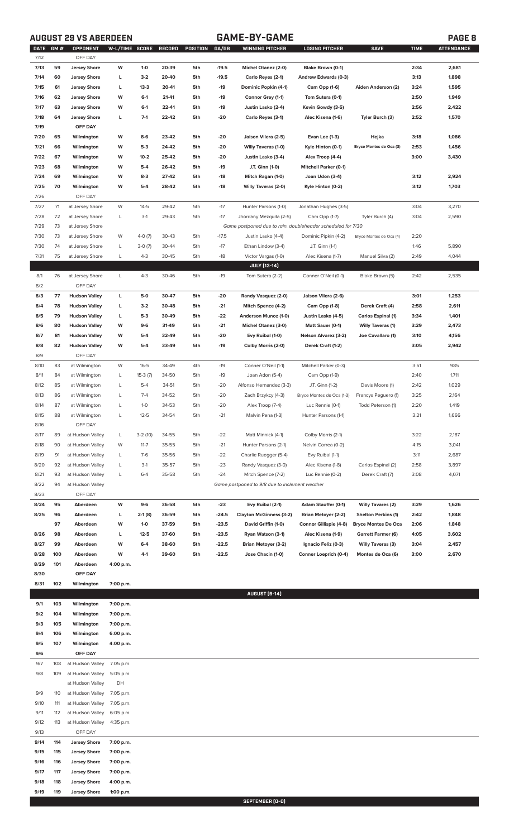# **AUGUST 29 VS ABERDEEN GAME-BY-GAME PAGE 8**

| <b>DATE</b> | <b>GM#</b> | OPPONENT             | W-L/TIME SCORE |           | RECORD | POSITION | GA/GB   | <b>WINNING PITCHER</b>                                      | <b>LOSING PITCHER</b>        | <b>SAVE</b>                | <b>TIME</b> | <b>ATTENDANCE</b> |
|-------------|------------|----------------------|----------------|-----------|--------|----------|---------|-------------------------------------------------------------|------------------------------|----------------------------|-------------|-------------------|
| 7/12        |            | OFF DAY              |                |           |        |          |         |                                                             |                              |                            |             |                   |
| 7/13        | 59         | <b>Jersey Shore</b>  | W              | $1-0$     | 20-39  | 5th      | $-19.5$ | Michel Otanez (2-0)                                         | Blake Brown (0-1)            |                            | 2:34        | 2,681             |
| 7/14        | 60         | <b>Jersey Shore</b>  | L              | $3-2$     | 20-40  | 5th      | $-19.5$ | Carlo Reyes (2-1)                                           | Andrew Edwards (0-3)         |                            | 3:13        | 1,898             |
| 7/15        | 61         | <b>Jersey Shore</b>  | L              | $13-3$    | 20-41  | 5th      | $-19$   | Dominic Popkin (4-1)                                        | Cam Opp (1-6)                | Aiden Anderson (2)         | 3:24        | 1,595             |
| 7/16        | 62         | <b>Jersey Shore</b>  | W              | $6-1$     | 21-41  | 5th      | $-19$   | Connor Grey (1-1)                                           | Tom Sutera (0-1)             |                            | 2:50        | 1,949             |
| 7/17        | 63         | <b>Jersey Shore</b>  | W              | $6-1$     | 22-41  | 5th      | $-19$   | Justin Lasko (2-4)                                          | Kevin Gowdy (3-5)            |                            | 2:56        | 2,422             |
| 7/18        | 64         | <b>Jersey Shore</b>  | L              | $7-1$     | 22-42  | 5th      | -20     | Carlo Reyes (3-1)                                           | Alec Kisena (1-6)            | Tyler Burch (3)            | 2:52        | 1,570             |
| 7/19        |            | OFF DAY              |                |           |        |          |         |                                                             |                              |                            |             |                   |
| 7/20        | 65         | Wilmington           | W              | 8-6       | 23-42  | 5th      | -20     | Jaison Vilera (2-5)                                         | Evan Lee (1-3)               | Hejka                      | 3:18        | 1,086             |
| 7/21        | 66         | Wilmington           | W              | 5-3       | 24-42  | 5th      |         | <b>Willy Taveras (1-0)</b>                                  | Kyle Hinton (0-1)            | Bryce Montes de Oca (3)    | 2:53        | 1,456             |
|             |            |                      |                |           |        |          | -20     | Justin Lasko (3-4)                                          |                              |                            |             |                   |
| 7/22        | 67         | Wilmington           | W              | $10 - 2$  | 25-42  | 5th      | -20     |                                                             | Alex Troop (4-4)             |                            | 3:00        | 3,430             |
| 7/23        | 68         | Wilmington           | W              | 5-4       | 26-42  | 5th      | -19     | J.T. Ginn (1-0)                                             | <b>Mitchell Parker (0-1)</b> |                            |             |                   |
| 7/24        | 69         | Wilmington           | W              | $8-3$     | 27-42  | 5th      | $-18$   | Mitch Ragan (1-0)                                           | Joan Udon (3-4)              |                            | 3:12        | 2,924             |
| 7/25        | 70         | Wilmington           | W              | $5-4$     | 28-42  | 5th      | $-18$   | <b>Willy Taveras (2-0)</b>                                  | Kyle Hinton (0-2)            |                            | 3:12        | 1,703             |
| 7/26        |            | OFF DAY              |                |           |        |          |         |                                                             |                              |                            |             |                   |
| 7/27        | 71         | at Jersey Shore      | W              | $14 - 5$  | 29-42  | 5th      | $-17$   | Hunter Parsons (1-0)                                        | Jonathan Hughes (3-5)        |                            | 3:04        | 3,270             |
| 7/28        | 72         | at Jersey Shore      | L              | $3-1$     | 29-43  | 5th      | $-17$   | Jhordany Mezquita (2-5)                                     | Cam Opp (1-7)                | Tyler Burch (4)            | 3:04        | 2,590             |
| 7/29        | 73         | at Jersey Shore      |                |           |        |          |         | Game postponed due to rain, doubleheader scheduled for 7/30 |                              |                            |             |                   |
| 7/30        | 73         | at Jersey Shore      | W              | $4-0(7)$  | 30-43  | 5th      | $-17.5$ | Justin Lasko (4-4)                                          | Dominic Pipkin (4-2)         | Bryce Montes de Oca (4)    | 2:20        |                   |
| 7/30        | 74         | at Jersey Shore      | L              | $3-0(7)$  | 30-44  | 5th      | $-17$   | Ethan Lindow (3-4)                                          | J.T. Ginn (1-1)              |                            | 1:46        | 5,890             |
| 7/31        | 75         | at Jersey Shore      | L              | $4 - 3$   | 30-45  | 5th      | $-18$   | Victor Vargas (1-0)                                         | Alec Kisena (1-7)            | Manuel Silva (2)           | 2:49        | 4,044             |
|             |            |                      |                |           |        |          |         | JULY [13-14]                                                |                              |                            |             |                   |
| 8/1         | 76         | at Jersey Shore      | L              | $4 - 3$   | 30-46  | 5th      | $-19$   | Tom Sutera (2-2)                                            | Conner O'Neil (0-1)          | Blake Brown (5)            | 2:42        | 2,535             |
| 8/2         |            | OFF DAY              |                |           |        |          |         |                                                             |                              |                            |             |                   |
| 8/3         | 77         | <b>Hudson Valley</b> | L              | 5-0       | 30-47  | 5th      | -20     | Randy Vasquez (2-0)                                         | Jaison Vilera (2-6)          |                            | 3:01        | 1,253             |
| 8/4         | 78         | <b>Hudson Valley</b> | L              | $3-2$     | 30-48  | 5th      | $-21$   | Mitch Spence (4-2)                                          | <b>Cam Opp (1-8)</b>         | Derek Craft (4)            | 2:58        | 2,611             |
| 8/5         | 79         | <b>Hudson Valley</b> | L              | $5-3$     | 30-49  | 5th      | $-22$   | Anderson Munoz (1-0)                                        | Justin Lasko (4-5)           | <b>Carlos Espinal (1)</b>  | 3:34        | 1,401             |
| 8/6         | 80         | <b>Hudson Valley</b> | W              | $9-6$     | 31-49  | 5th      | $-21$   | <b>Michel Otanez (3-0)</b>                                  | Matt Sauer (0-1)             | <b>Willy Taveras (1)</b>   | 3:29        | 2,473             |
| 8/7         | 81         | <b>Hudson Valley</b> | W              | $5-4$     | 32-49  | 5th      | -20     | Evy Ruibal (1-0)                                            | <b>Nelson Alvarez (3-2)</b>  | Joe Cavallaro (1)          | 3:10        | 4,156             |
| 8/8         | 82         | <b>Hudson Valley</b> | W              | $5-4$     | 33-49  | 5th      | $-19$   | Colby Morris (2-0)                                          | Derek Craft (1-2)            |                            | 3:05        | 2,942             |
| 8/9         |            | OFF DAY              |                |           |        |          |         |                                                             |                              |                            |             |                   |
| 8/10        | 83         | at Wilmington        | W              | $16 - 5$  | 34-49  | 4th      | $-19$   | Conner O'Neil (1-1)                                         | Mitchell Parker (0-3)        |                            | 3:51        | 985               |
| 8/11        | 84         | at Wilmington        | L              | $15-3(7)$ | 34-50  | 5th      | $-19$   | Joan Adon (5-4)                                             | Cam Opp (1-9)                |                            | 2:40        | 1,711             |
| 8/12        | 85         | at Wilmington        | L              | $5 - 4$   | 34-51  | 5th      | $-20$   | Alfonso Hernandez (3-3)                                     | J.T. Ginn (1-2)              | Davis Moore (1)            | 2:42        | 1,029             |
| 8/13        | 86         | at Wilmington        | L              | $7 - 4$   | 34-52  | 5th      | $-20$   | Zach Brzykcy (4-3)                                          | Bryce Montes de Oca (1-3)    | Francys Peguero (1)        | 3:25        | 2,164             |
| 8/14        | 87         | at Wilmington        | L              | $1 - 0$   | 34-53  | 5th      | $-20$   | Alex Troop (7-4)                                            | Luc Rennie (0-1)             | Todd Peterson (1)          | 2:20        | 1,419             |
| 8/15        | 88         | at Wilmington        |                | $12 - 5$  | 34-54  | 5th      | -21     | Malvin Pena (1-3)                                           | Hunter Parsons (1-1)         |                            | 3:21        | 1,666             |
| 8/16        |            | OFF DAY              |                |           |        |          |         |                                                             |                              |                            |             |                   |
| 8/17        | 89         | at Hudson Valley     | L              | $3-2(10)$ | 34-55  | 5th      | $-22$   | Matt Minnick (4-1)                                          | Colby Morris (2-1)           |                            | 3:22        | 2,187             |
| 8/18        | 90         | at Hudson Valley     | W              | $11 - 7$  | 35-55  | 5th      | $-21$   | Hunter Parsons (2-1)                                        | Nelvin Correa (0-2)          |                            | 4:15        | 3,041             |
| 8/19        | 91         | at Hudson Valley     | L              | $7-6$     | 35-56  | 5th      | $-22$   | Charlie Ruegger (5-4)                                       | Evy Ruibal (1-1)             |                            | 3:11        | 2,687             |
| 8/20        | 92         | at Hudson Valley     | L              | $3-1$     | 35-57  | 5th      | $-23$   | Randy Vasquez (3-0)                                         | Alec Kisena (1-8)            | Carlos Espinal (2)         | 2:58        | 3,897             |
| 8/21        | 93         | at Hudson Valley     | L              | $6 - 4$   | 35-58  | 5th      | $-24$   | Mitch Spence (7-2)                                          | Luc Rennie (0-2)             | Derek Craft (7)            | 3:08        | 4,071             |
| 8/22        | 94         | at Hudson Valley     |                |           |        |          |         | Game postponed to 9/8 due to inclement weather              |                              |                            |             |                   |
| 8/23        |            | OFF DAY              |                |           |        |          |         |                                                             |                              |                            |             |                   |
| 8/24        | 95         | Aberdeen             | W              | 9-6       | 36-58  | 5th      | $-23$   | Evy Ruibal (2-1)                                            | Adam Stauffer (0-1)          | <b>Willy Tavares (2)</b>   | 3:29        | 1,626             |
| 8/25        | 96         | Aberdeen             | L              | $2-1(8)$  | 36-59  | 5th      | -24.5   | <b>Clayton McGinness (3-2)</b>                              | <b>Brian Metoyer (2-2)</b>   | <b>Shelton Perkins (1)</b> | 2:42        | 1,848             |
|             | 97         | Aberdeen             | W              | $1-0$     | 37-59  | 5th      | -23.5   | David Griffin (1-0)                                         | Connor Gillispie (4-8)       | <b>Bryce Montes De Oca</b> | 2:06        | 1,848             |
| 8/26        | 98         | Aberdeen             | L              | $12 - 5$  | 37-60  | 5th      | -23.5   | Ryan Watson (3-1)                                           | Alec Kisena (1-9)            | <b>Garrett Farmer (6)</b>  | 4:05        | 3,602             |
| 8/27        | 99         | Aberdeen             | W              | 6-4       | 38-60  | 5th      | -22.5   | <b>Brian Metoyer (3-2)</b>                                  | Ignacio Feliz (0-3)          | <b>Willy Taveras (3)</b>   | 3:04        | 2,457             |
| 8/28        | 100        | Aberdeen             | W              | $4-1$     | 39-60  | 5th      | -22.5   | Jose Chacin (1-0)                                           | Conner Loeprich (0-4)        | Montes de Oca (6)          | 3:00        | 2,670             |
| 8/29        | 101        | Aberdeen             | 4:00 p.m.      |           |        |          |         |                                                             |                              |                            |             |                   |
| 8/30        |            | OFF DAY              |                |           |        |          |         |                                                             |                              |                            |             |                   |
| 8/31        | 102        | Wilmington           | 7:00 p.m.      |           |        |          |         |                                                             |                              |                            |             |                   |
|             |            |                      |                |           |        |          |         | <b>AUGUST (6-14)</b>                                        |                              |                            |             |                   |
| 9/1         | 103        | Wilmington           | 7:00 p.m.      |           |        |          |         |                                                             |                              |                            |             |                   |
| 9/2         | 104        | Wilmington           | 7:00 p.m.      |           |        |          |         |                                                             |                              |                            |             |                   |
| 9/3         | 105        | Wilmington           | 7:00 p.m.      |           |        |          |         |                                                             |                              |                            |             |                   |
| 9/4         | 106        | Wilmington           | 6:00 p.m.      |           |        |          |         |                                                             |                              |                            |             |                   |
| 9/5         | 107        | Wilmington           | 4:00 p.m.      |           |        |          |         |                                                             |                              |                            |             |                   |
| 9/6         |            | OFF DAY              |                |           |        |          |         |                                                             |                              |                            |             |                   |
| 9/7         | 108        | at Hudson Valley     | 7:05 p.m.      |           |        |          |         |                                                             |                              |                            |             |                   |
| 9/8         | 109        | at Hudson Valley     | 5:05 p.m.      |           |        |          |         |                                                             |                              |                            |             |                   |
|             |            | at Hudson Valley     | DH             |           |        |          |         |                                                             |                              |                            |             |                   |
| 9/9         | 110        | at Hudson Valley     | 7:05 p.m.      |           |        |          |         |                                                             |                              |                            |             |                   |
| 9/10        | 111        | at Hudson Valley     | 7:05 p.m.      |           |        |          |         |                                                             |                              |                            |             |                   |
| 9/11        | 112        | at Hudson Valley     | 6:05 p.m.      |           |        |          |         |                                                             |                              |                            |             |                   |
| 9/12        | 113        | at Hudson Valley     | 4:35 p.m.      |           |        |          |         |                                                             |                              |                            |             |                   |
| 9/13        |            | OFF DAY              |                |           |        |          |         |                                                             |                              |                            |             |                   |
| 9/14        | 114        | <b>Jersey Shore</b>  | 7:00 p.m.      |           |        |          |         |                                                             |                              |                            |             |                   |
| 9/15        | 115        | <b>Jersey Shore</b>  | 7:00 p.m.      |           |        |          |         |                                                             |                              |                            |             |                   |
| 9/16        | 116        | <b>Jersey Shore</b>  | 7:00 p.m.      |           |        |          |         |                                                             |                              |                            |             |                   |
| 9/17        | 117        | <b>Jersey Shore</b>  | 7:00 p.m.      |           |        |          |         |                                                             |                              |                            |             |                   |
| 9/18        | 118        | <b>Jersey Shore</b>  | 4:00 p.m.      |           |        |          |         |                                                             |                              |                            |             |                   |
| 9/19        | 119        | <b>Jersey Shore</b>  | 1:00 p.m.      |           |        |          |         |                                                             |                              |                            |             |                   |

**SEPTEMBER (0-0)**